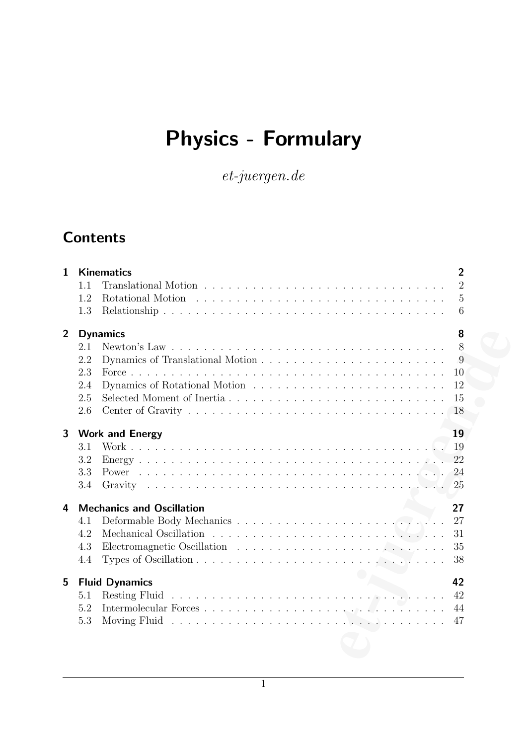# Physics - Formulary

et-juergen.de

# **Contents**

| $\mathbf{1}$   | <b>Kinematics</b>                                                                                          | $\overline{2}$ |
|----------------|------------------------------------------------------------------------------------------------------------|----------------|
|                | 1.1                                                                                                        | $\overline{2}$ |
|                | 1.2                                                                                                        | 5              |
|                | 1.3                                                                                                        | 6              |
| $\overline{2}$ | <b>Dynamics</b>                                                                                            | 8              |
|                | 2.1                                                                                                        | 8              |
|                | 2.2                                                                                                        | 9              |
|                | 2.3                                                                                                        | 10             |
|                | 2.4                                                                                                        | 12             |
|                | $2.5\,$                                                                                                    | 15             |
|                | 2.6                                                                                                        | 18             |
| 3              | <b>Work and Energy</b>                                                                                     | 19             |
|                | 3.1                                                                                                        | 19             |
|                | 3.2                                                                                                        | 22             |
|                | 3.3                                                                                                        | 24             |
|                | 3.4                                                                                                        | 25             |
| 4              | <b>Mechanics and Oscillation</b>                                                                           | 27             |
|                | 4.1                                                                                                        | 27             |
|                | 4.2                                                                                                        | 31             |
|                | 4.3                                                                                                        | 35             |
|                | Types of Oscillation $\ldots \ldots \ldots \ldots \ldots \ldots \ldots \ldots \ldots \ldots \ldots$<br>4.4 | 38             |
|                |                                                                                                            |                |
| 5              | <b>Fluid Dynamics</b>                                                                                      | 42             |
|                | 5.1                                                                                                        | 42             |
|                | 5.2                                                                                                        | 44             |
|                | 5.3                                                                                                        | 47             |
|                |                                                                                                            |                |
|                |                                                                                                            |                |
|                |                                                                                                            |                |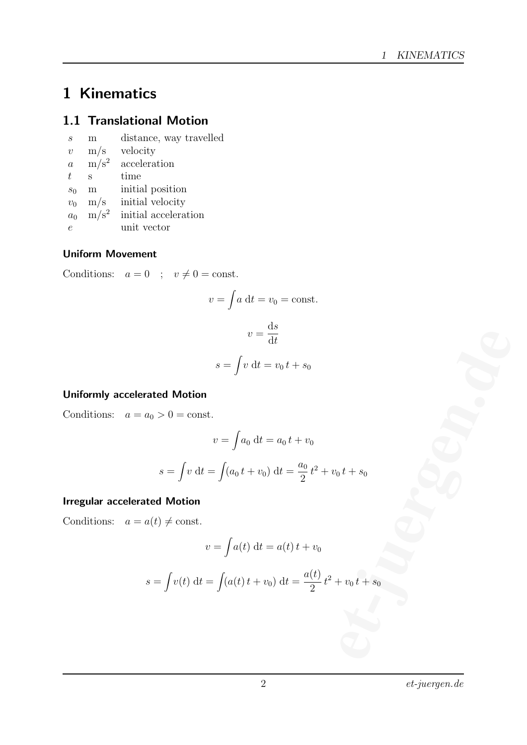# 1 Kinematics

### 1.1 Translational Motion

- s m distance, way travelled
- $v$  m/s velocity  $a \sqrt{m/s^2}$ acceleration  $t$  s time  $s_0$  m initial position  $v_0$  m/s initial velocity  $a_0$  m/s<sup>2</sup> initial acceleration e unit vector

#### Uniform Movement

Conditions:  $a = 0$  ;  $v \neq 0$  = const.

$$
v = \int a \, dt = v_0 = \text{const.}
$$

$$
v = \frac{ds}{dt}
$$

$$
s = \int v \, dt = v_0 \, t + s_0
$$

### Uniformly accelerated Motion

Conditions:  $a = a_0 > 0 = \text{const.}$ 

$$
v = \int a_0 dt = a_0 t + v_0
$$

$$
s = \int v dt = \int (a_0 t + v_0) dt = \frac{a_0}{2} t^2 + v_0 t + s_0
$$

#### Irregular accelerated Motion

Conditions:  $a = a(t) \neq \text{const.}$ 

$$
v = \frac{dS}{dt}
$$
  
\n
$$
s = \int v \, dt = v_0 t + s_0
$$
  
\n
$$
a_0 > 0 = \text{const.}
$$
  
\n
$$
v = \int a_0 \, dt = a_0 t + v_0
$$
  
\n
$$
s = \int v \, dt = \int (a_0 t + v_0) \, dt = \frac{a_0}{2} t^2 + v_0 t + s_0
$$
  
\n
$$
a(t) \neq \text{const.}
$$
  
\n
$$
v = \int a(t) \, dt = a(t) t + v_0
$$
  
\n
$$
s = \int v(t) \, dt = \int (a(t) t + v_0) \, dt = \frac{a(t)}{2} t^2 + v_0 t + s_0
$$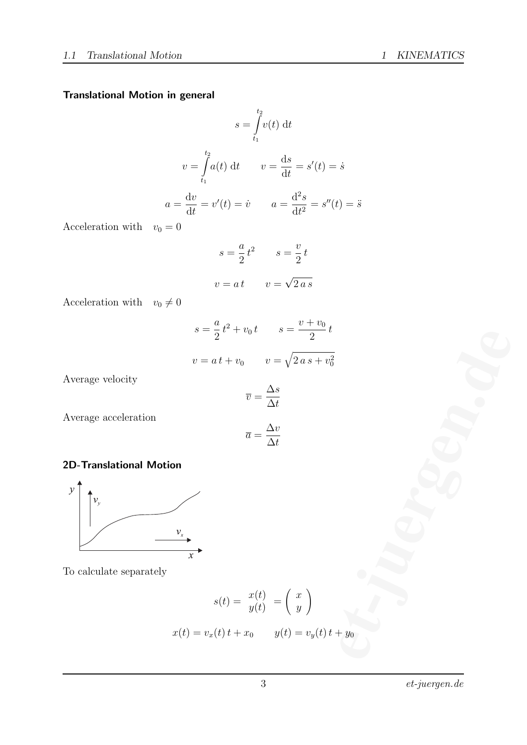### Translational Motion in general

$$
s = \int_{t_1}^{t_2} v(t) dt
$$

$$
v = \int_{t_1}^{t_2} a(t) dt \qquad v = \frac{ds}{dt} = s'(t) = \dot{s}
$$

$$
a = \frac{dv}{dt} = v'(t) = \dot{v} \qquad a = \frac{d^2s}{dt^2} = s''(t) = \ddot{s}
$$

Acceleration with  $v_0 = 0$ 

$$
s = \frac{a}{2}t^2 \qquad s = \frac{v}{2}t
$$

$$
v = at \qquad v = \sqrt{2}as
$$

Acceleration with  $v_0 \neq 0$ 

$$
s = \frac{a}{2}t^{2} + v_{0}t \qquad s = \frac{v + v_{0}}{2}t
$$

$$
v = at + v_{0} \qquad v = \sqrt{2as + v_{0}^{2}}
$$

Average velocity

$$
\overline{v} = \frac{\Delta s}{\Delta t}
$$

Average acceleration

$$
\overline{a} = \frac{\Delta v}{\Delta t}
$$

#### 2D-Translational Motion



To calculate separately

$$
s = \frac{1}{2}t^2 + v_0t \t s = \frac{1}{2}t
$$
  

$$
v = at + v_0 \t v = \sqrt{2as + v_0^2}
$$
  

$$
\overline{v} = \frac{\Delta s}{\Delta t}
$$
  

$$
\overline{a} = \frac{\Delta v}{\Delta t}
$$
  
on  

$$
s(t) = \frac{v(t)}{y(t)} = \begin{pmatrix} x \\ y \end{pmatrix}
$$
  

$$
x(t) = v_x(t)t + x_0 \t y(t) = v_y(t)t + y_0
$$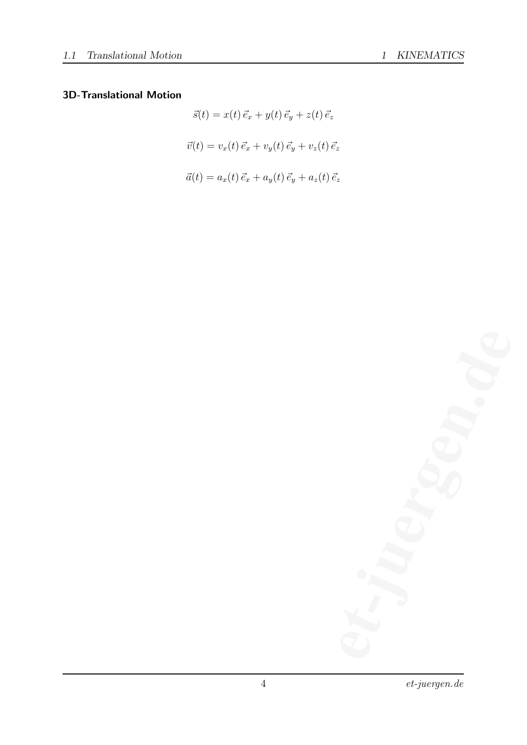### 3D-Translational Motion

$$
\vec{s}(t) = x(t)\,\vec{e}_x + y(t)\,\vec{e}_y + z(t)\,\vec{e}_z
$$

$$
\vec{v}(t) = v_x(t)\,\vec{e}_x + v_y(t)\,\vec{e}_y + v_z(t)\,\vec{e}_z
$$

$$
\vec{a}(t) = a_x(t)\,\vec{e}_x + a_y(t)\,\vec{e}_y + a_z(t)\,\vec{e}_z
$$

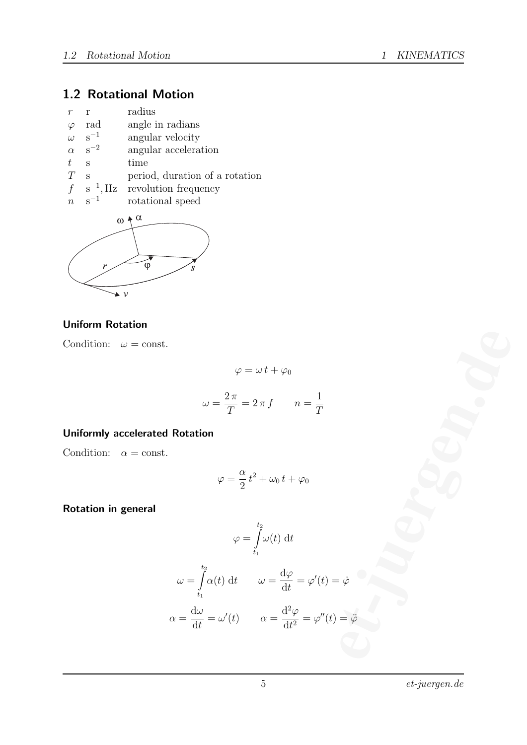### 1.2 Rotational Motion

| r |               | radius           |
|---|---------------|------------------|
|   | $\varphi$ rad | angle in radians |
|   |               |                  |

- $\begin{matrix} \omega & s^{-1} \\ \alpha & s^{-2} \end{matrix}$ angular velocity
- $\alpha$ angular acceleration
- $t$  s time
- T s period, duration of a rotation
- $f$  s<sup>-1</sup>, Hz revolution frequency

 $n \quad s^{-1}$ rotational speed



#### Uniform Rotation

Condition:  $\omega = \text{const.}$ 

$$
\varphi=\omega\,t+\varphi_0
$$

$$
\omega = \frac{2\pi}{T} = 2\pi f \qquad n = \frac{1}{T}
$$

### Uniformly accelerated Rotation

Condition:  $\alpha = \text{const.}$ 

$$
\varphi = \frac{\alpha}{2} t^2 + \omega_0 t + \varphi_0
$$

Rotation in general

$$
\varphi = \omega t + \varphi_0
$$
  
\n
$$
\omega = \frac{2\pi}{T} = 2\pi f \qquad n = \frac{1}{T}
$$
  
\nRotation  
\n
$$
\varphi = \frac{\alpha}{2}t^2 + \omega_0 t + \varphi_0
$$
  
\n
$$
\varphi = \int_{t_1}^{t_2} \omega(t) dt
$$
  
\n
$$
\omega = \int_{t_1}^{t_2} \alpha(t) dt \qquad \omega = \frac{d\varphi}{dt} = \varphi'(t) = \varphi
$$
  
\n
$$
\alpha = \frac{d\omega}{dt} = \omega'(t) \qquad \alpha = \frac{d^2\varphi}{dt^2} = \varphi''(t) = \tilde{\varphi}
$$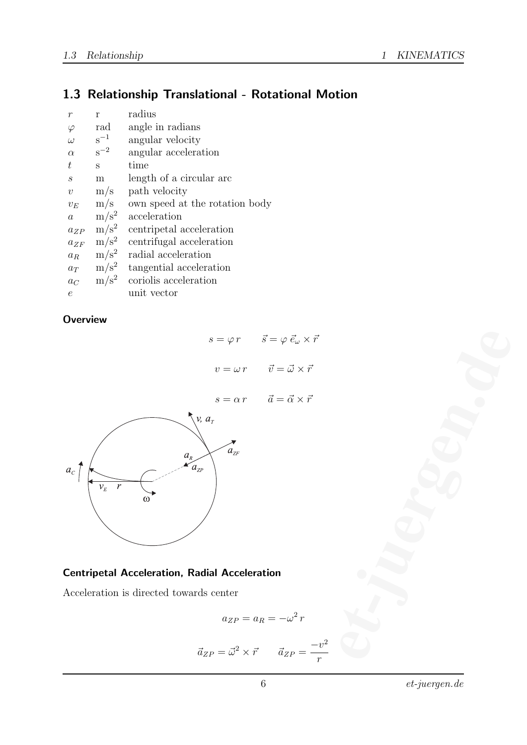### 1.3 Relationship Translational - Rotational Motion

| $\,r$            | r           | radius                         |
|------------------|-------------|--------------------------------|
| $\varphi$        | rad         | angle in radians               |
| $\omega$         | $s^{-1}$    | angular velocity               |
| $\alpha$         | $s^{-2}$    | angular acceleration           |
| ŧ                | S           | time                           |
| S                | m           | length of a circular arc       |
| $\boldsymbol{v}$ | m/s         | path velocity                  |
| $v_E$            | m/s         | own speed at the rotation body |
| $\overline{a}$   | $\rm m/s^2$ | acceleration                   |
| $a_{ZP}$         | $\rm m/s^2$ | centripetal acceleration       |
| $a_{ZF}$         | $m/s^2$     | centrifugal acceleration       |
| $a_R$            | $\rm m/s^2$ | radial acceleration            |
| $a_T$            | $\rm m/s^2$ | tangential acceleration        |
| $a_C$            | $\rm m/s^2$ | coriolis acceleration          |
| е                |             | unit vector                    |

#### **Overview**

 $s = \varphi r$   $\vec{s} = \varphi \, \vec{e}_{\omega} \times \vec{r}$ 

$$
v = \omega r \qquad \vec{v} = \vec{\omega} \times \vec{r}
$$

$$
s = \alpha r \qquad \vec{a} = \vec{\alpha} \times \vec{r}
$$



### Centripetal Acceleration, Radial Acceleration

Acceleration is directed towards center

$$
a_{ZP} = a_R = -\omega^2 r
$$

$$
\vec{a}_{ZP} = \vec{\omega}^2 \times \vec{r} \qquad \vec{a}_{ZP} = \frac{-v^2}{r}
$$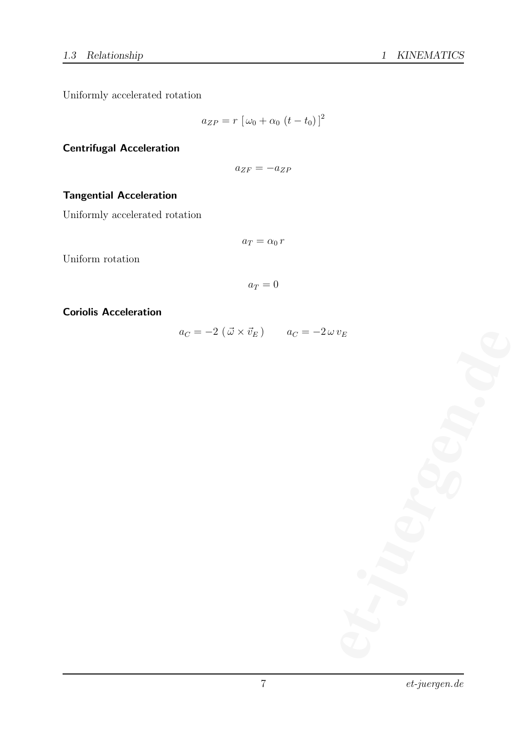Uniformly accelerated rotation

$$
a_{ZP} = r \left[ \omega_0 + \alpha_0 \left( t - t_0 \right) \right]^2
$$

Centrifugal Acceleration

$$
a_{ZF}=-a_{ZP}
$$

### Tangential Acceleration

Uniformly accelerated rotation

$$
a_T = \alpha_0 r
$$

Uniform rotation

$$
a_T=0
$$

#### Coriolis Acceleration

$$
a_C = -2 \left(\vec{\omega} \times \vec{v}_E\right) \qquad a_C = -2 \omega v_E
$$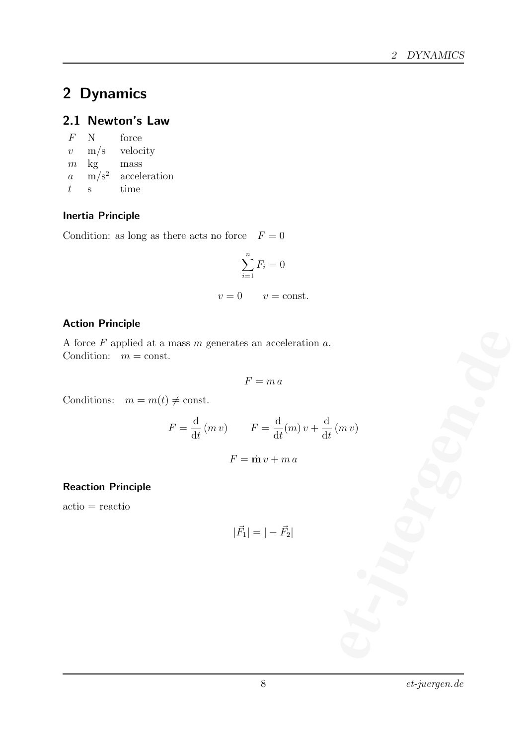# 2 Dynamics

### 2.1 Newton's Law

| H'               | N             | force        |
|------------------|---------------|--------------|
| $\boldsymbol{v}$ | m/s           | velocity     |
| $\boldsymbol{m}$ | $\mathrm{kg}$ | mass         |
| a                | $m/s^2$       | acceleration |
| t.               | S             | time         |
|                  |               |              |

#### Inertia Principle

Condition: as long as there acts no force  $F = 0$ 

$$
\sum_{i=1}^{n} F_i = 0
$$

$$
v = 0 \qquad v = \text{const.}
$$

### Action Principle

A force  $F$  applied at a mass  $m$  generates an acceleration  $a$ . Condition:  $m = \text{const.}$ 

$$
F=m\,a
$$

Conditions:  $m = m(t) \neq \text{const.}$ 

mass *m* generates an acceleration *a*.  
\n
$$
F = ma
$$
\n
$$
F = \frac{d}{dt}(mv) \qquad F = \frac{d}{dt}(m)v + \frac{d}{dt}(mv)
$$
\n
$$
F = m v + ma
$$
\n
$$
|\vec{F}_1| = |- \vec{F}_2|
$$

$$
F = \dot{\mathbf{m}} v + m a
$$

### Reaction Principle

actio = reactio

$$
|\vec{F}_1| = |- \vec{F}_2|
$$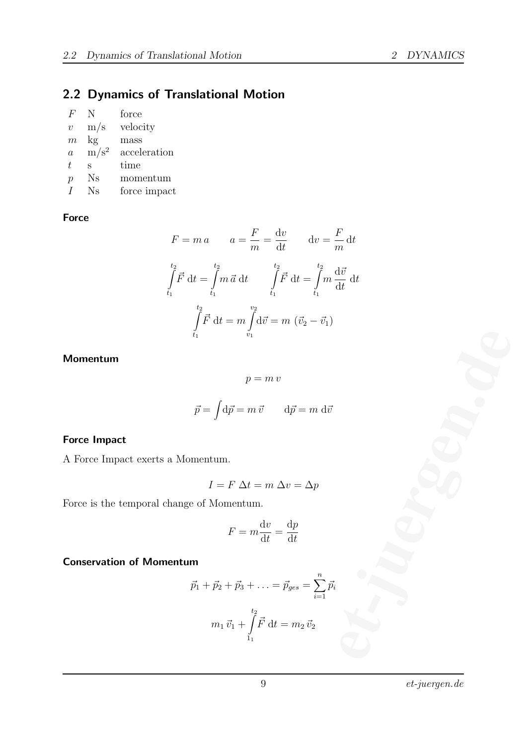### 2.2 Dynamics of Translational Motion

| F                | N             | force        |
|------------------|---------------|--------------|
| $\boldsymbol{v}$ | m/s           | velocity     |
| $\boldsymbol{m}$ | $\mathrm{kg}$ | mass         |
| $\overline{a}$   | $m/s^2$       | acceleration |
| t.               | S             | time         |
| $\mathcal{p}$    | $_{\rm Ns}$   | momentum     |
|                  | Ns            | force impact |

Force

$$
F = ma \t a = \frac{F}{m} = \frac{dv}{dt} \t dv = \frac{F}{m} dt
$$
  

$$
\int_{t_1}^{t_2} \vec{F} dt = \int_{t_1}^{t_2} m \, \vec{a} dt \t \int_{t_1}^{t_2} \vec{F} dt = \int_{t_1}^{t_2} m \frac{d\vec{v}}{dt} dt
$$
  

$$
\int_{t_1}^{t_2} \vec{F} dt = m \int_{v_1}^{v_2} d\vec{v} = m (\vec{v}_2 - \vec{v}_1)
$$

#### Momentum

#### $p = m v$

$$
\vec{p} = \int d\vec{p} = m \, \vec{v} \qquad d\vec{p} = m \, d\vec{v}
$$

#### Force Impact

A Force Impact exerts a Momentum.

$$
I = F \Delta t = m \Delta v = \Delta p
$$

Force is the temporal change of Momentum.

$$
F = m \frac{\mathrm{d}v}{\mathrm{d}t} = \frac{\mathrm{d}p}{\mathrm{d}t}
$$

### Conservation of Momentum

$$
\vec{p}_1 + \vec{p}_2 + \vec{p}_3 + \ldots = \vec{p}_{ges} = \sum_{i=1}^n \vec{p}_i
$$

$$
m_1 \vec{v}_1 + \int_{1_1}^{t_2} \vec{F} dt = m_2 \vec{v}_2
$$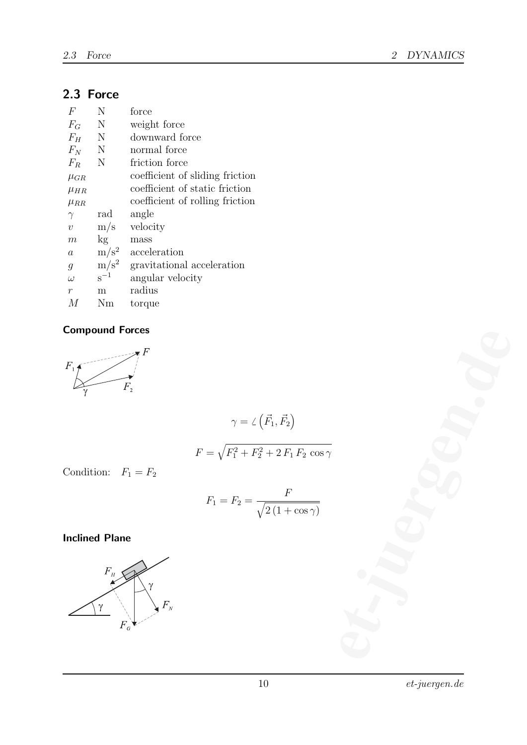### 2.3 Force

| F                | N                         | force                           |
|------------------|---------------------------|---------------------------------|
| $F_G$            | N                         | weight force                    |
| $F_H$            | $\mathbf N$               | downward force                  |
| $F_N$            | $\mathbf N$               | normal force                    |
| $F_R$            | $\mathbf N$               | friction force                  |
| $\mu_{GR}$       |                           | coefficient of sliding friction |
| $\mu_{HR}$       |                           | coefficient of static friction  |
| $\mu_{RR}$       |                           | coefficient of rolling friction |
| $\gamma$         | rad                       | angle                           |
| $\boldsymbol{v}$ | m/s                       | velocity                        |
| $\,m$            | kg                        | mass                            |
| $\it a$          | $\rm m/s^2$               | acceleration                    |
| $\mathfrak{g}$   | $\mathrm{m}/\mathrm{s}^2$ | gravitational acceleration      |
| $\omega$         | $s^{-1}$                  | angular velocity                |
| $\mathcal{r}$    | m                         | radius                          |
| М                | Nm                        | torque                          |

### Compound Forces



$$
\gamma = \angle \left(\vec{F_1}, \vec{F_2}\right)
$$

$$
F = \sqrt{F_1^2 + F_2^2 + 2F_1F_2 \cos \gamma}
$$

Condition:  $F_1 = F_2$ 

$$
F_1 = F_2 = \frac{F}{\sqrt{2(1 + \cos \gamma)}}
$$

Inclined Plane

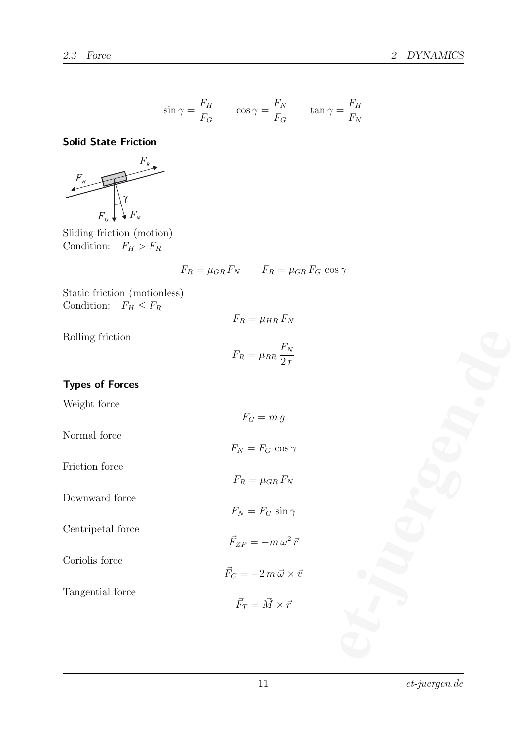$$
\sin \gamma = \frac{F_H}{F_G} \qquad \cos \gamma = \frac{F_N}{F_G} \qquad \tan \gamma = \frac{F_H}{F_N}
$$

#### Solid State Friction



Sliding friction (motion) Condition:  $F_H > F_R$ 

$$
F_R = \mu_{GR} F_N \qquad F_R = \mu_{GR} F_G \cos \gamma
$$

Static friction (motionless) Condition:  $F_H \leq F_R$ 

Rolling friction

$$
F_R = \mu_{RR} \frac{F_N}{2r}
$$

 $F_R = \mu_{HR} F_N$ 

### Types of Forces

Weight force

- Normal force
- Friction force

Downward force

Centripetal force

Coriolis force

Tangential force

 $2 r$ 

$$
F_G = m g
$$
  
\n
$$
F_N = F_G \cos \gamma
$$
  
\n
$$
F_R = \mu_{GR} F_N
$$
  
\n
$$
F_N = F_G \sin \gamma
$$
  
\n
$$
\vec{F}_{ZP} = -m \omega^2 \vec{r}
$$
  
\n
$$
\vec{F}_C = -2 m \vec{\omega} \times \vec{v}
$$
  
\n
$$
\vec{F}_T = \vec{M} \times \vec{r}
$$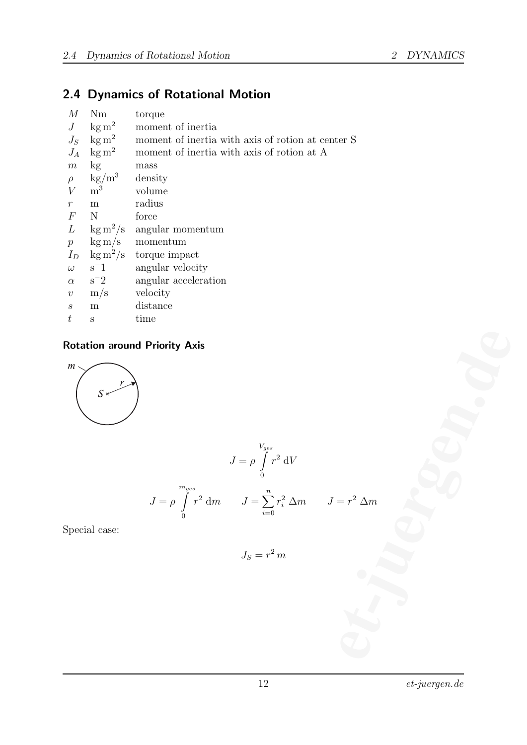### 2.4 Dynamics of Rotational Motion

| М                | Nm                      | torque                                            |
|------------------|-------------------------|---------------------------------------------------|
|                  | $J \log m^2$            | moment of inertia                                 |
|                  | $J_S$ kg m <sup>2</sup> | moment of inertia with axis of rotion at center S |
|                  | $J_A$ kg m <sup>2</sup> | moment of inertia with axis of rotion at A        |
| m                | kg                      | mass                                              |
| $\rho$           | $\text{kg}/\text{m}^3$  | density                                           |
| V                | m <sup>3</sup>          | volume                                            |
| r                | m                       | radius                                            |
| $\boldsymbol{F}$ | $\mathbf N$             | force                                             |
| L                |                         | $\log m^2/s$ angular momentum                     |
| $\overline{p}$   |                         | $\text{kg m/s}$ momentum                          |
|                  |                         | $I_D$ kg m <sup>2</sup> /s torque impact          |
| $\omega$         | $s^-1$                  | angular velocity                                  |
| $\alpha$         | $s^-2$                  | angular acceleration                              |
| $\upsilon$       | m/s                     | velocity                                          |
| $\boldsymbol{S}$ | m                       | distance                                          |
| $t\,$            | S                       | time                                              |
|                  |                         |                                                   |

### Rotation around Priority Axis



Priority Axis

\n
$$
J = \rho \int_{0}^{V_{ges}} r^{2} \, \mathrm{d}V
$$
\n
$$
J = \rho \int_{0}^{m_{ges}} r^{2} \, \mathrm{d}m \qquad J = \sum_{i=0}^{n} r_{i}^{2} \, \Delta m \qquad J = r^{2} \, \Delta m
$$
\n
$$
J_{S} = r^{2} \, m
$$

Special case:

$$
J_S = r^2 \, m
$$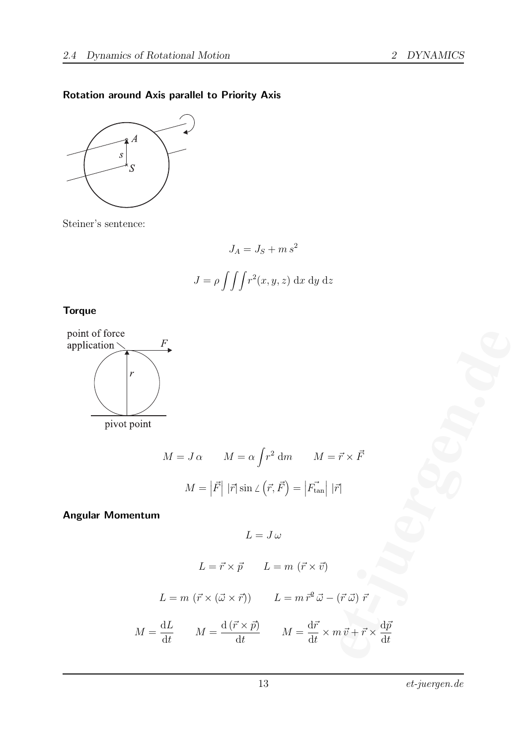### Rotation around Axis parallel to Priority Axis



Steiner's sentence:

$$
J_A = J_S + m s^2
$$

$$
J = \rho \iiint r^2(x, y, z) dx dy dz
$$

### **Torque**



$$
M = J \alpha \qquad M = \alpha \int r^2 dm \qquad M = \vec{r} \times \vec{F}
$$

$$
M = |\vec{F}| |\vec{r}| \sin \angle (\vec{r}, \vec{F}) = |\vec{F}_{\tan}| |\vec{r}|
$$

### Angular Momentum

 $L = J \omega$ 

point  
\n
$$
M = J \alpha \qquad M = \alpha \int r^2 dm \qquad M = \vec{r} \times \vec{F}
$$
\n
$$
M = |\vec{F}| |\vec{r}| \sin \angle (\vec{r}, \vec{F}) = |\vec{F}_{\tan}| |\vec{r}|
$$
\n
$$
L = J \omega
$$
\n
$$
L = \vec{r} \times \vec{p} \qquad L = m (\vec{r} \times \vec{v})
$$
\n
$$
L = m (\vec{r} \times (\vec{\omega} \times \vec{r})) \qquad L = m \vec{r}^2 \vec{\omega} - (\vec{r} \vec{\omega}) \vec{r}
$$
\n
$$
M = \frac{dL}{dt} \qquad M = \frac{d(\vec{r} \times \vec{p})}{dt} \qquad M = \frac{d\vec{r}}{dt} \times m \vec{v} + \vec{r} \times \frac{d\vec{p}}{dt}
$$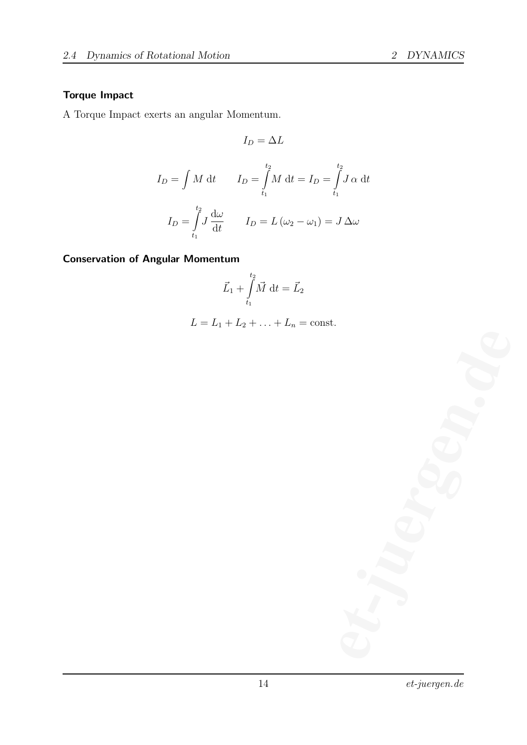### Torque Impact

A Torque Impact exerts an angular Momentum.

$$
I_D = \Delta L
$$

$$
I_D = \int M dt \qquad I_D = \int_{t_1}^{t_2} M dt = I_D = \int_{t_1}^{t_2} J \alpha dt
$$

$$
I_D = \int_{t_1}^{t_2} J \frac{d\omega}{dt} \qquad I_D = L(\omega_2 - \omega_1) = J \Delta \omega
$$

### Conservation of Angular Momentum

$$
\vec{L}_1 + \int\limits_{t_1}^{t_2} \vec{M} \ \mathrm{d}t = \vec{L}_2
$$

$$
L = L_1 + L_2 + \ldots + L_n = \text{const.}
$$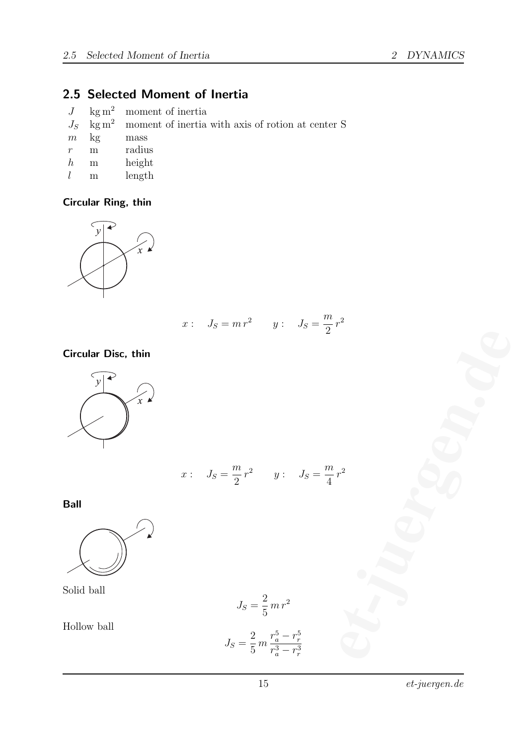### 2.5 Selected Moment of Inertia

- 
- $J_S$  kg m<sup>2</sup> moment of inertia<br> $J_S$  kg m<sup>2</sup> moment of inertia  $J_S$  kg m<sup>2</sup> moment of inertia with axis of rotion at center S
- $m$  kg mass r m radius
- $h$  m height
- $l$  m length

#### Circular Ring, thin



$$
x: \quad J_S = m r^2 \qquad y: \quad J_S = \frac{m}{2} r^2
$$

#### Circular Disc, thin



$$
x: \quad J_S = \frac{m}{2}r^2 \qquad y: \quad J_S = \frac{m}{4}r^2
$$
\n
$$
J_S = \frac{2}{5}mr^2
$$
\n
$$
J_S = \frac{2}{5}m\frac{r_o^5 - r_r^5}{r_a^3 - r_r^3}
$$

Ball



Solid ball

Hollow ball

$$
J_S = \frac{2}{5} m r^2
$$

$$
J_S = \frac{2}{5} m \frac{r_a^5 - r_r^5}{r_a^3 - r_r^3}
$$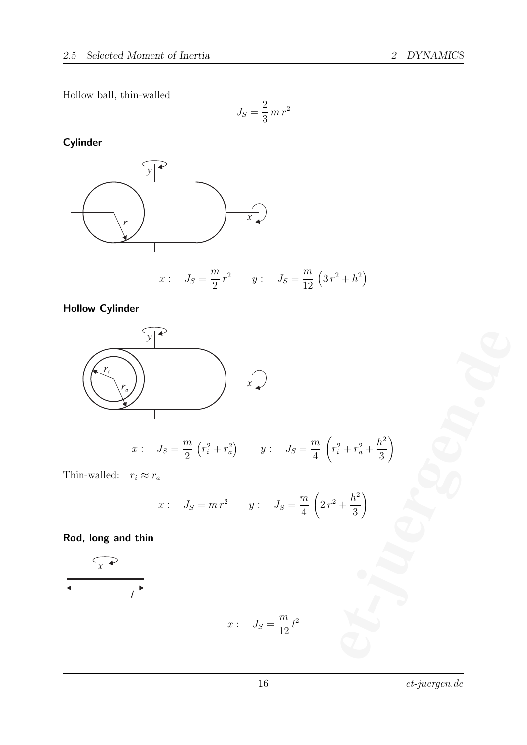Hollow ball, thin-walled

$$
J_S = \frac{2}{3} m r^2
$$

Cylinder



Hollow Cylinder



y  
\nx  
\n
$$
x: J_s = \frac{m}{2} (r_i^2 + r_a^2)
$$
 y:  $J_s = \frac{m}{4} (r_i^2 + r_a^2 + \frac{h^2}{3})$   
\n $r_i \approx r_a$   
\n $x: J_s = mr^2$  y:  $J_s = \frac{m}{4} (2r^2 + \frac{h^2}{3})$   
\nthin  
\n $x: J_s = \frac{m}{12} l^2$ 

Thin-walled:  $r_i \approx r_a$ 

$$
x: \quad J_S = m r^2 \qquad y: \quad J_S = \frac{m}{4} \left( 2 r^2 + \frac{h^2}{3} \right)
$$

Rod, long and thin



$$
x: \quad J_S = \frac{m}{12}l^2
$$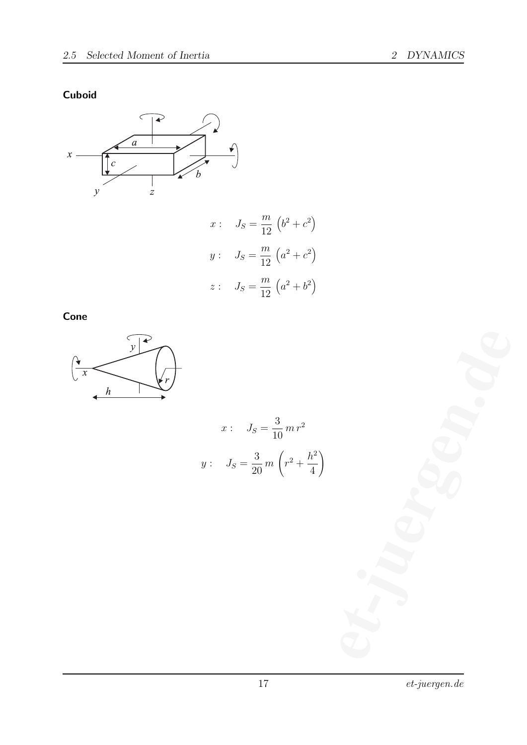### Cuboid



Cone



 $x:$   $J_S =$ 3 10  $m r<sup>2</sup>$  $y:$   $J_S =$ 3 20 m  $\sqrt{ }$  $r^2 + \frac{h^2}{4}$ 4  $\setminus$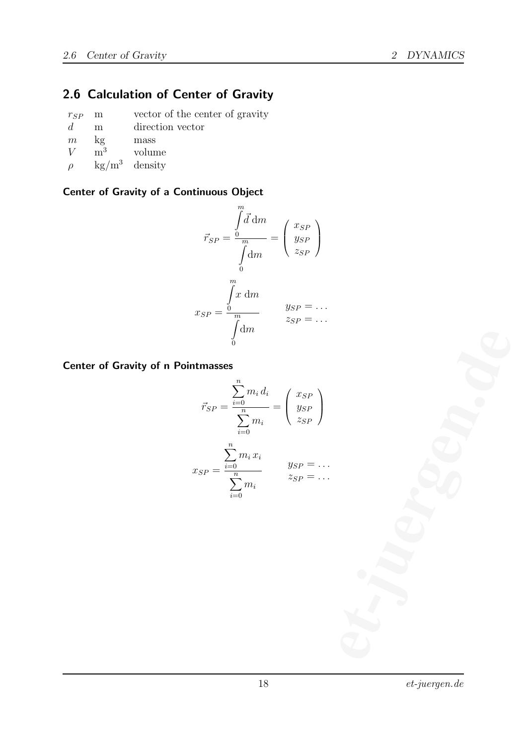### 2.6 Calculation of Center of Gravity

| $r_{SP}$    | m              | vector of the center of gravity |
|-------------|----------------|---------------------------------|
| $d_{\cdot}$ | m              | direction vector                |
| m           | kg             | mass                            |
| V           | m <sup>3</sup> | volume                          |
| $\rho$      |                | $\text{kg/m}^3$ density         |

### Center of Gravity of a Continuous Object

$$
\vec{r}_{SP} = \frac{\int\limits_{0}^{m} \vec{d} \, dm}{\int\limits_{0}^{m} \, dm} = \left(\begin{array}{c} x_{SP} \\ y_{SP} \\ z_{SP} \end{array}\right)
$$

$$
x_{SP} = \frac{\int\limits_{0}^{m} x \, dm}{\int\limits_{0}^{m} \, dm} \qquad y_{SP} = \dots
$$

$$
\int\limits_{0}^{m} \, dm
$$

### Center of Gravity of n Pointmasses

$$
\vec{r}_{SP} = \frac{\sum_{i=0}^{n} m_i d_i}{\sum_{i=0}^{n} m_i} = \left(\begin{array}{c} x_{SP} \\ y_{SP} \\ z_{SP} \end{array}\right)
$$

$$
x_{SP} = \frac{\sum_{i=0}^{n} m_i x_i}{\sum_{i=0}^{n} m_i} \qquad \begin{array}{c} y_{SP} = \dots \\ z_{SP} = \dots \end{array}
$$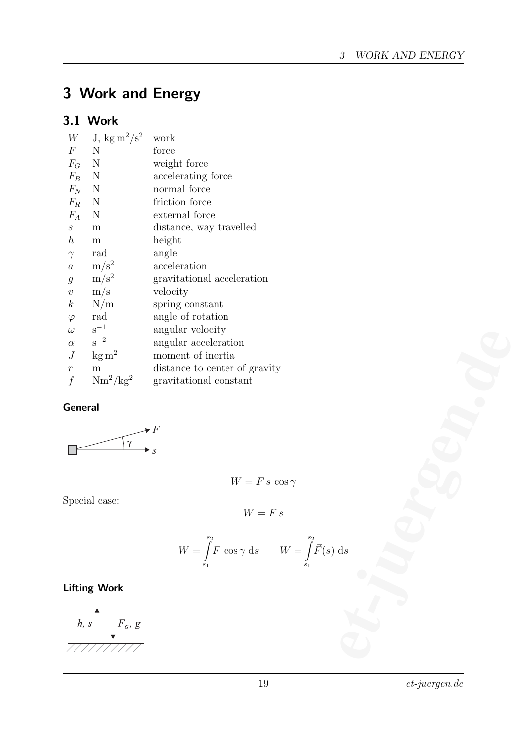# 3 Work and Energy

# 3.1 Work

| $W = J$ , kg m <sup>2</sup> /s <sup>2</sup> | work                          |
|---------------------------------------------|-------------------------------|
| N                                           | force                         |
| $F_G$ N                                     | weight force                  |
| $F_B$ N                                     | accelerating force            |
| $\mathbb{N}$                                | normal force                  |
| $F_R$ N                                     | friction force                |
| N                                           | external force                |
| m                                           | distance, way travelled       |
| m                                           | height                        |
| rad                                         | angle                         |
| $\mathrm{m}/\mathrm{s}^2$                   | acceleration                  |
| $\mathrm{m}/\mathrm{s}^2$                   | gravitational acceleration    |
| m/s                                         | velocity                      |
| N/m                                         | spring constant               |
| rad                                         | angle of rotation             |
| $s^{-1}$                                    | angular velocity              |
| $s^{-2}$                                    | angular acceleration          |
| $\text{kg m}^2$                             | moment of inertia             |
| m                                           | distance to center of gravity |
| $Nm^2/kg^2$                                 | gravitational constant        |
|                                             |                               |

### **General**



$$
W = F s \cos \gamma
$$

Special case:

$$
W = F s
$$

ar velocity  
\nar acceleration  
\nent of inertia  
\ncec to center of gravity  
\nrational constant  
\n
$$
W = F s \cos \gamma
$$
\n
$$
W = F s
$$
\n
$$
W = \int_{s_1}^{s_2} F \cos \gamma \, ds \qquad W = \int_{s_1}^{s_2} \vec{F}(s) \, ds
$$

### Lifting Work

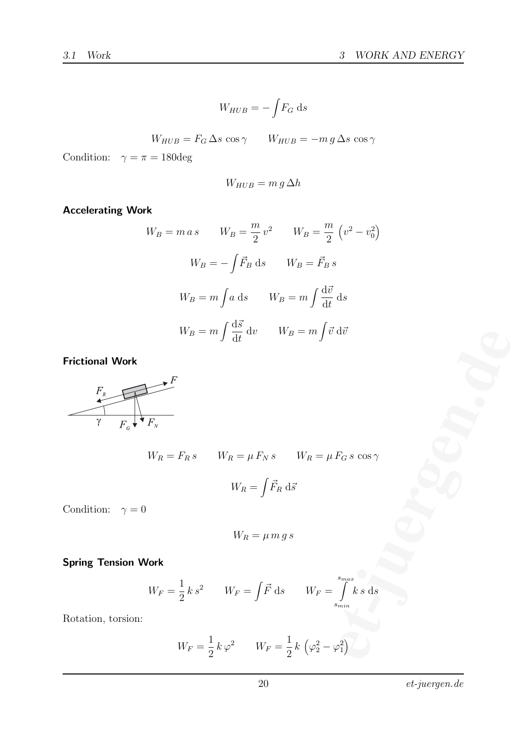$$
W_{HUB} = -\int F_G \, \mathrm{d}s
$$

$$
W_{HUB} = F_G \Delta s \cos \gamma \qquad W_{HUB} = -m g \Delta s \cos \gamma
$$

Condition:  $\gamma = \pi = 180 \text{deg}$ 

$$
W_{HUB} = m g \, \Delta h
$$

### Accelerating Work

$$
W_B = m a s \qquad W_B = \frac{m}{2} v^2 \qquad W_B = \frac{m}{2} \left( v^2 - v_0^2 \right)
$$

$$
W_B = - \int \vec{F}_B \, ds \qquad W_B = \vec{F}_B s
$$

$$
W_B = m \int a \, ds \qquad W_B = m \int \frac{d\vec{v}}{dt} \, ds
$$

$$
W_B = m \int \frac{d\vec{s}}{dt} \, dv \qquad W_B = m \int \vec{v} \, d\vec{v}
$$

Frictional Work



$$
W_B = m \int \frac{1}{dt} dv \qquad W_B = m \int \vec{v} d\vec{v}
$$
  
\nF  
\nF<sub>N</sub>  
\n
$$
W_R = F_R s \qquad W_R = \mu F_N s \qquad W_R = \mu F_G s \cos \gamma
$$
  
\n
$$
W_R = \int \vec{F}_R d\vec{s}
$$
  
\n
$$
W_R = \mu m g s
$$
  
\n**Jork**  
\n
$$
W_F = \frac{1}{2} k s^2 \qquad W_F = \int \vec{F} ds \qquad W_F = \int_{s_{min}}^{s_{max}} k s ds
$$
  
\n
$$
W_F = \frac{1}{2} k \varphi^2 \qquad W_F = \frac{1}{2} k (\varphi_2^2 - \varphi_1^2)
$$

Condition:  $\gamma = 0$ 

$$
W_R = \mu m \, g \, s
$$

### Spring Tension Work

$$
W_F = \frac{1}{2} k s^2 \qquad W_F = \int \vec{F} \, ds \qquad W_F = \int_{s_{min}}^{s_{max}} k s \, ds
$$

Rotation, torsion:

$$
W_F = \frac{1}{2} k \varphi^2 \qquad W_F = \frac{1}{2} k \left( \varphi_2^2 - \varphi_1^2 \right)
$$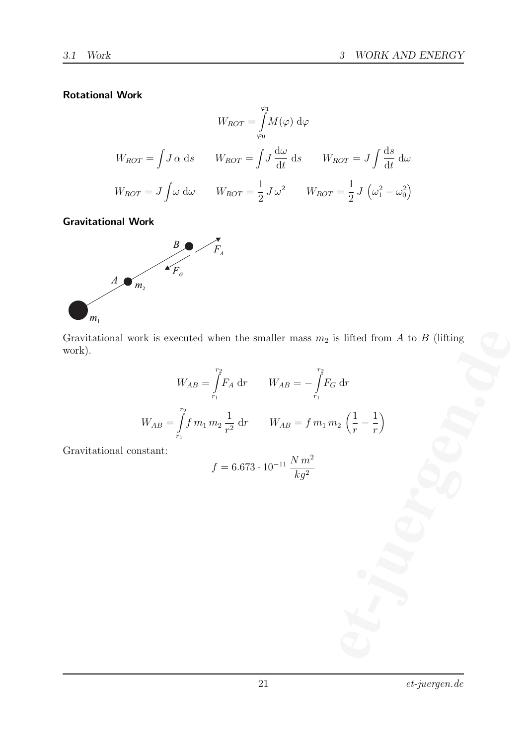### Rotational Work

$$
W_{ROT} = \int_{\varphi_0}^{\varphi_1} M(\varphi) \, d\varphi
$$
  

$$
W_{ROT} = \int J \alpha \, ds \qquad W_{ROT} = \int J \frac{d\omega}{dt} \, ds \qquad W_{ROT} = J \int \frac{ds}{dt} \, d\omega
$$
  

$$
W_{ROT} = J \int \omega \, d\omega \qquad W_{ROT} = \frac{1}{2} J \omega^2 \qquad W_{ROT} = \frac{1}{2} J \left(\omega_1^2 - \omega_0^2\right)
$$

Gravitational Work



Gravitational work is executed when the smaller mass  $m_2$  is lifted from A to B (lifting work).

$$
W_{AB} = \int_{r_1}^{r_2} F_A dr \qquad W_{AB} = -\int_{r_1}^{r_2} F_G dr
$$
  
\n
$$
W_{AB} = \int_{r_1}^{r_2} f m_1 m_2 \frac{1}{r^2} dr \qquad W_{AB} = f m_1 m_2 \left(\frac{1}{r} - \frac{1}{r}\right)
$$
  
\n
$$
f = 6.673 \cdot 10^{-11} \frac{N m^2}{kg^2}
$$
  
\n
$$
V_{AB} = 6.673 \cdot 10^{-11} \frac{N m^2}{kg^2}
$$

Gravitational constant:

$$
f = 6.673 \cdot 10^{-11} \frac{N m^2}{kg^2}
$$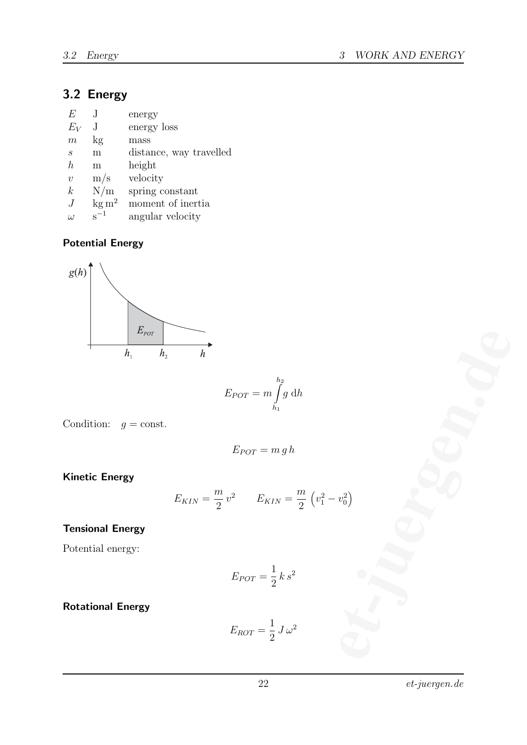### 3.2 Energy

| F,               |                 | energy                  |
|------------------|-----------------|-------------------------|
| $E_V$            |                 | energy loss             |
| m                | kg              | mass                    |
| S,               | m               | distance, way travelled |
| h                | m               | height                  |
| $\boldsymbol{v}$ | m/s             | velocity                |
| $\boldsymbol{k}$ | N/m             | spring constant         |
|                  | $\text{kg m}^2$ | moment of inertia       |
| $\iota$          | $s^{-1}$        | angular velocity        |
|                  |                 |                         |

### Potential Energy



$$
E_{POT} = m \int_{h_1}^{h_2} g \, dh
$$

Condition:  $g = \text{const.}$ 

$$
E_{POT}=m\,g\,h
$$

Kinetic Energy

$$
E_{POT} = m \int_{h_1}^{h_2} g \, dh
$$
  
\n
$$
E_{POT} = m g h
$$
  
\n
$$
E_{KIN} = \frac{m}{2} v^2 \qquad E_{KIN} = \frac{m}{2} (v_1^2 - v_0^2)
$$
  
\n
$$
E_{POT} = \frac{1}{2} k s^2
$$
  
\n
$$
E_{ROT} = \frac{1}{2} J \omega^2
$$

### Tensional Energy

Potential energy:

$$
E_{POT} = \frac{1}{2} k s^2
$$

Rotational Energy

$$
E_{ROT}=\frac{1}{2}\,J\,\omega^2
$$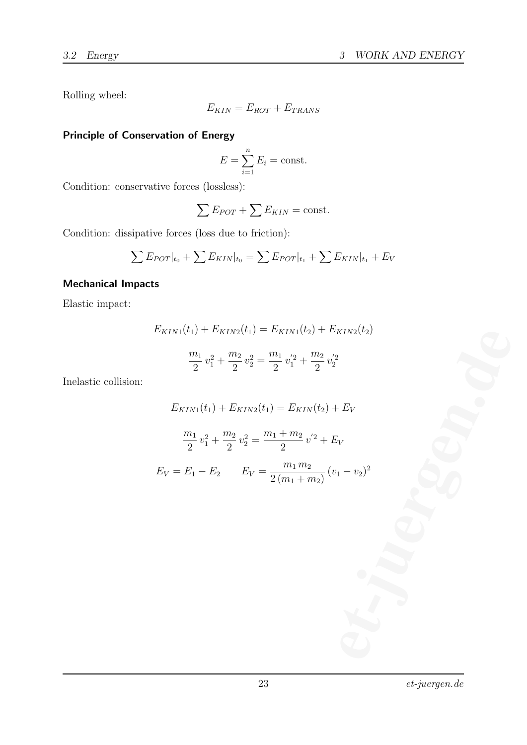Rolling wheel:

$$
E_{KIN} = E_{ROT} + E_{TRANS}
$$

### Principle of Conservation of Energy

$$
E = \sum_{i=1}^{n} E_i = \text{const.}
$$

Condition: conservative forces (lossless):

$$
\sum E_{POT} + \sum E_{KIN} = \text{const.}
$$

Condition: dissipative forces (loss due to friction):

$$
\sum E_{POT}|_{t_0} + \sum E_{KIN}|_{t_0} = \sum E_{POT}|_{t_1} + \sum E_{KIN}|_{t_1} + E_V
$$

### Mechanical Impacts

Elastic impact:

$$
E_{KIN1}(t_1) + E_{KIN2}(t_1) = E_{KIN1}(t_2) + E_{KIN2}(t_2)
$$

$$
\frac{m_1}{2}v_1^2 + \frac{m_2}{2}v_2^2 = \frac{m_1}{2}v_1'^2 + \frac{m_2}{2}v_2'^2
$$

Inelastic collision:

$$
E_{KIN1}(t_1) + E_{KIN2}(t_1) = E_{KIN1}(t_2) + E_{KIN2}(t_2)
$$
  

$$
\frac{m_1}{2}v_1^2 + \frac{m_2}{2}v_2^2 = \frac{m_1}{2}v_1'^2 + \frac{m_2}{2}v_2'^2
$$
  

$$
E_{KIN1}(t_1) + E_{KIN2}(t_1) = E_{KIN}(t_2) + E_V
$$
  

$$
\frac{m_1}{2}v_1^2 + \frac{m_2}{2}v_2^2 = \frac{m_1 + m_2}{2}v^2 + E_V
$$
  

$$
E_V = E_1 - E_2 \qquad E_V = \frac{m_1 m_2}{2(m_1 + m_2)}(v_1 - v_2)^2
$$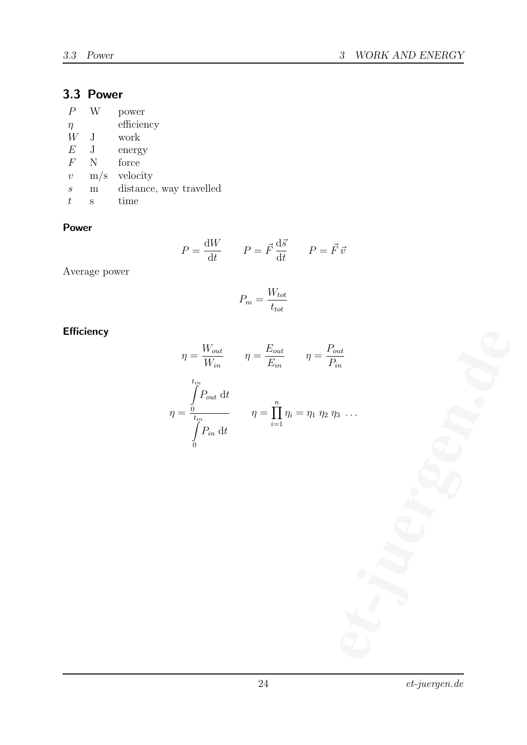### 3.3 Power

|  | power |
|--|-------|
|  |       |

- $\eta$  efficiency
- $W\quad\text{J}\qquad \text{work}$
- $E$  J energy
- F N force
- $v$  m/s velocity
- $s$  m distance, way travelled
- $t$  s time

### Power

$$
P = \frac{\mathrm{d}W}{\mathrm{d}t} \qquad P = \vec{F} \frac{\mathrm{d}\vec{s}}{\mathrm{d}t} \qquad P = \vec{F} \,\vec{v}
$$

Average power

$$
P_m = \frac{W_{tot}}{t_{tot}}
$$

### **Efficiency**

$$
\eta = \frac{W_{out}}{W_{in}} \qquad \eta = \frac{E_{out}}{E_{in}} \qquad \eta = \frac{P_{out}}{P_{in}}
$$
  

$$
\eta = \frac{\int_{t_{in}}^{t_{in}} P_{out} dt}{\int_{0}^{t_{in}} P_{in} dt} \qquad \eta = \prod_{i=1}^{n} \eta_i = \eta_1 \eta_2 \eta_3 \dots
$$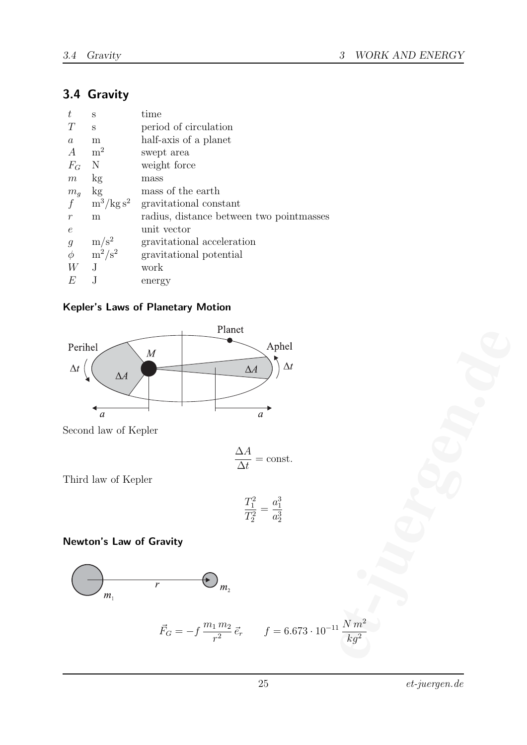### 3.4 Gravity

| t              | S                           | time                                     |
|----------------|-----------------------------|------------------------------------------|
| T              | S                           | period of circulation                    |
| $\mathfrak a$  | m                           | half-axis of a planet                    |
| $\overline{A}$ | m <sup>2</sup>              | swept area                               |
| $F_G$          | N                           | weight force                             |
| m              | kg                          | mass                                     |
| $m_q$          | kg                          | mass of the earth                        |
| f              | $\rm m^3/kg s^2$            | gravitational constant                   |
| $\mathcal{r}$  | m                           | radius, distance between two pointmasses |
| $\epsilon$     |                             | unit vector                              |
| $\mathfrak{g}$ | $m/s^2$                     | gravitational acceleration               |
| $\phi$         | $\mathrm{m}^2/\mathrm{s}^2$ | gravitational potential                  |
| W              | J                           | work                                     |
| E              | J                           | energy                                   |

### Kepler's Laws of Planetary Motion



Second law of Kepler

$$
\frac{\Delta A}{\Delta t} = \text{const.}
$$

Third law of Kepler

$$
\frac{T_1^2}{T_2^2} = \frac{a_1^3}{a_2^3}
$$

### Newton's Law of Gravity



$$
\Delta A
$$
 Aphel  
\n
$$
\Delta A
$$
  
\n
$$
\Delta A = \text{const.}
$$
\n
$$
\frac{T_1^2}{T_2^2} = \frac{a_1^3}{a_2^3}
$$
\n
$$
\vec{r}_G = -f \frac{m_1 m_2}{r^2} \vec{e}_r \qquad f = 6.673 \cdot 10^{-11} \frac{N m^2}{kg^2}
$$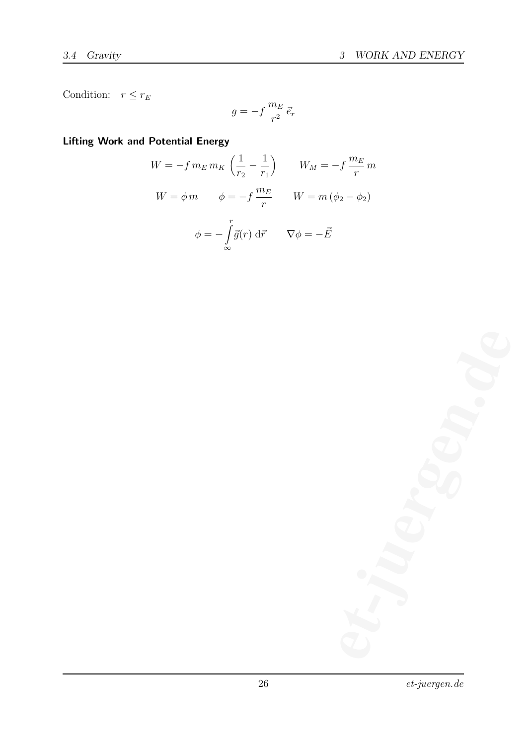Condition:  $r \leq r_E$ 

$$
g = -f \, \frac{m_E}{r^2} \, \vec{e}_r
$$

### Lifting Work and Potential Energy

$$
W = -f m_E m_K \left(\frac{1}{r_2} - \frac{1}{r_1}\right) \qquad W_M = -f \frac{m_E}{r} m
$$
  

$$
W = \phi m \qquad \phi = -f \frac{m_E}{r} \qquad W = m (\phi_2 - \phi_2)
$$
  

$$
\phi = -\int_{\infty}^{r} \vec{g}(r) d\vec{r} \qquad \nabla \phi = -\vec{E}
$$

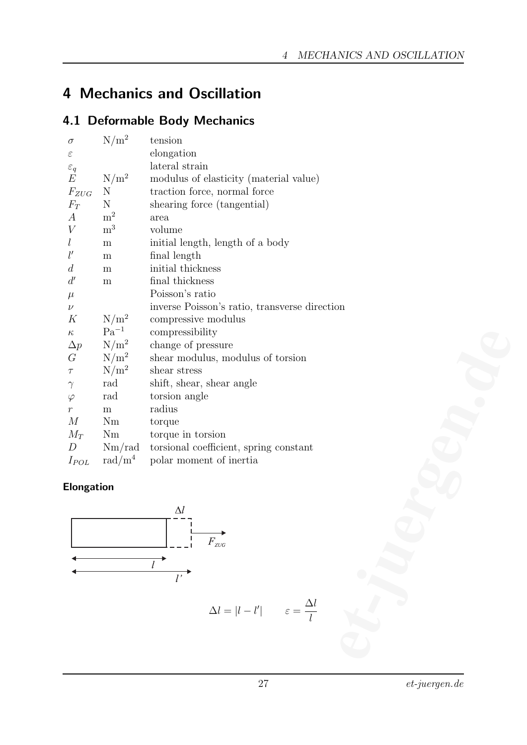# 4 Mechanics and Oscillation

### 4.1 Deformable Body Mechanics

| $\sigma$         | $N/m^2$        | tension                                       |
|------------------|----------------|-----------------------------------------------|
| $\varepsilon$    |                | elongation                                    |
| $\varepsilon_q$  |                | lateral strain                                |
| E                | $N/m^2$        | modulus of elasticity (material value)        |
| $F_{ZUG}$        | N              | traction force, normal force                  |
| $F_T$            | N              | shearing force (tangential)                   |
| $\boldsymbol{A}$ | m <sup>2</sup> | area                                          |
| V                | m <sup>3</sup> | volume                                        |
| $l_{\rm }$       | m              | initial length, length of a body              |
| l'               | m              | final length                                  |
| d                | m              | initial thickness                             |
| d'               | m              | final thickness                               |
| $\mu$            |                | Poisson's ratio                               |
| $\nu$            |                | inverse Poisson's ratio, transverse direction |
| К                | $N/m^2$        | compressive modulus                           |
| $\kappa$         | $Pa^{-1}$      | compressibility                               |
| $\Delta p$       | $N/m^2$        | change of pressure                            |
| $\cal G$         | $N/m^2$        | shear modulus, modulus of torsion             |
| $\tau$           | $N/m^2$        | shear stress                                  |
| $\gamma$         | rad            | shift, shear, shear angle                     |
| $\varphi$        | rad            | torsion angle                                 |
| $\mathcal{r}$    | m              | radius                                        |
| $\cal M$         | N <sub>m</sub> | torque                                        |
| $M_T$            | Nm             | torque in torsion                             |
| $\boldsymbol{D}$ | Nm/rad         | torsional coefficient, spring constant        |
| $I_{POL}$        | rad $/m4$      | polar moment of inertia                       |

### Elongation



$$
\Delta l = |l - l'| \qquad \varepsilon = \frac{\Delta l}{l}
$$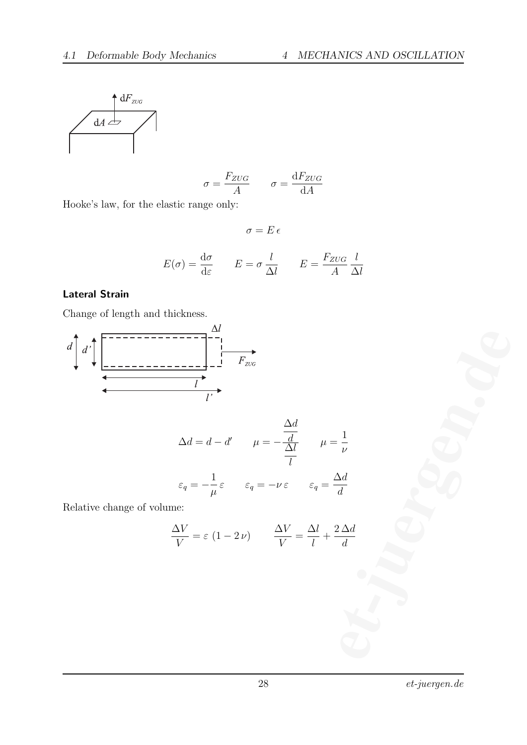

$$
\sigma = \frac{F_{ZUG}}{A} \qquad \sigma = \frac{\mathrm{d}F_{ZUG}}{\mathrm{d}A}
$$

Hooke's law, for the elastic range only:

 $\sigma = E \epsilon$ 

$$
E(\sigma) = \frac{d\sigma}{d\varepsilon}
$$
  $E = \sigma \frac{l}{\Delta l}$   $E = \frac{F_{ZUG}}{A} \frac{l}{\Delta l}$ 

#### Lateral Strain

Change of length and thickness.



$$
\begin{array}{cccc}\n\overrightarrow{AB} & \overrightarrow{AB} \\
\hline\n\end{array}
$$
\n
$$
\Delta d = d - d' \qquad \mu = -\frac{\frac{\Delta d}{d}}{\frac{\Delta l}{l}} \qquad \mu = \frac{1}{\nu}
$$
\n
$$
\varepsilon_q = -\frac{1}{\mu} \varepsilon \qquad \varepsilon_q = -\nu \varepsilon \qquad \varepsilon_q = \frac{\Delta d}{d}
$$
\n
$$
\frac{\Delta V}{V} = \varepsilon (1 - 2\nu) \qquad \frac{\Delta V}{V} = \frac{\Delta l}{l} + \frac{2 \Delta d}{d}
$$

Relative change of volume:

$$
\frac{\Delta V}{V} = \varepsilon (1 - 2 \nu) \qquad \frac{\Delta V}{V} = \frac{\Delta l}{l} + \frac{2 \Delta d}{d}
$$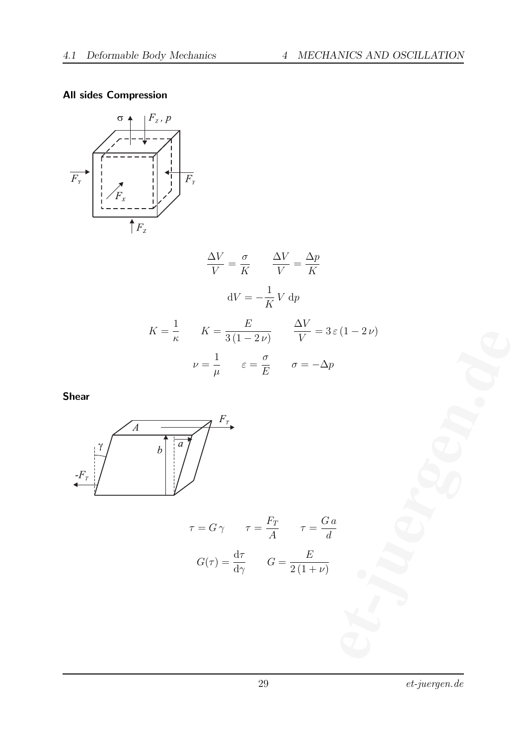### All sides Compression



$$
\frac{\Delta V}{V} = \frac{\sigma}{K} \qquad \frac{\Delta V}{V} = \frac{\Delta p}{K}
$$
  
\n
$$
dV = -\frac{1}{K} V dp
$$
  
\n
$$
K = \frac{1}{\kappa} \qquad K = \frac{E}{3(1 - 2\nu)} \qquad \frac{\Delta V}{V} = 3\varepsilon (1 - 2\nu)
$$
  
\n
$$
\nu = \frac{1}{\mu} \qquad \varepsilon = \frac{\sigma}{E} \qquad \sigma = -\Delta p
$$
  
\n
$$
b \qquad \boxed{\sigma}
$$
  
\n
$$
\sigma = G\gamma \qquad \tau = \frac{F_T}{A} \qquad \tau = \frac{G a}{d}
$$
  
\n
$$
G(\tau) = \frac{d\tau}{d\gamma} \qquad G = \frac{E}{2(1 + \nu)}
$$

Shear



$$
\tau = G \gamma \qquad \tau = \frac{F_T}{A} \qquad \tau = \frac{G a}{d}
$$

$$
G(\tau) = \frac{d\tau}{d\gamma} \qquad G = \frac{E}{2(1+\nu)}
$$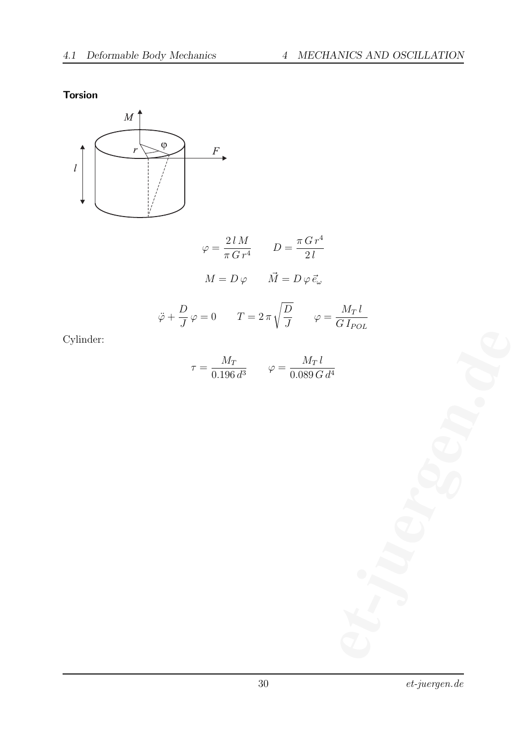### Torsion





Cylinder:

$$
\tau = \frac{M_T}{0.196 d^3} \qquad \varphi = \frac{M_T l}{0.089 G d^4}
$$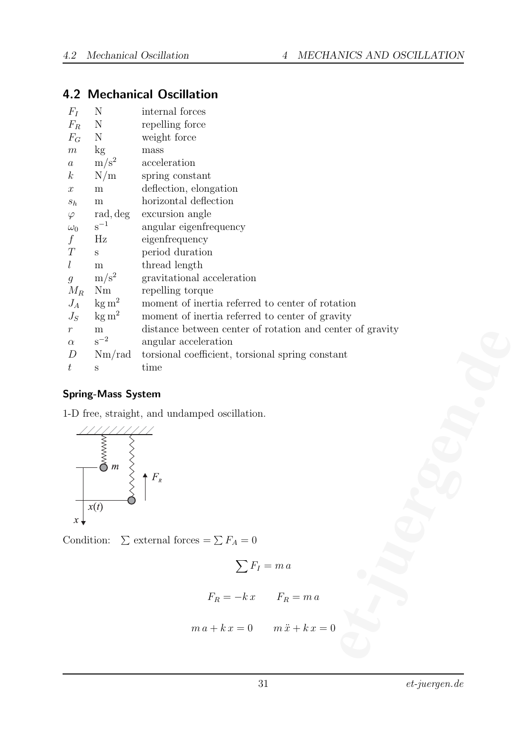### 4.2 Mechanical Oscillation

| $F_I$            | N                  | internal forces                                           |
|------------------|--------------------|-----------------------------------------------------------|
| $F_R$            | N                  | repelling force                                           |
| $\mathcal{F}_G$  | N                  | weight force                                              |
| $\,m$            | kg                 | mass                                                      |
| $\boldsymbol{a}$ | $m/s^2$            | acceleration                                              |
| $\boldsymbol{k}$ | N/m                | spring constant                                           |
| $\boldsymbol{x}$ | ${\bf m}$          | deflection, elongation                                    |
| $s_h$            | ${\bf m}$          | horizontal deflection                                     |
| $\varphi$        | rad, deg           | excursion angle                                           |
| $\omega_0$       | $s^{-1}$           | angular eigenfrequency                                    |
| $\boldsymbol{f}$ | Hz                 | eigenfrequency                                            |
| $\cal T$         | S                  | period duration                                           |
| l                | ${\bf m}$          | thread length                                             |
| $\mathfrak g$    | $m/s^2$            | gravitational acceleration                                |
| $M_R$            | Nm                 | repelling torque                                          |
| $J_A$            | $\text{kg m}^2$    | moment of inertia referred to center of rotation          |
| $J_S$            | $\text{kg m}^2$    | moment of inertia referred to center of gravity           |
| $\,r\,$          | ${\bf m}$          | distance between center of rotation and center of gravity |
| $\alpha$         | $\rm s^{-2}$       | angular acceleration                                      |
| D                | Nm/rad             | torsional coefficient, torsional spring constant          |
| $\boldsymbol{t}$ | S                  | time                                                      |
|                  | Spring-Mass System |                                                           |
|                  |                    | 1-D free, straight, and undamped oscillation.             |
|                  |                    |                                                           |
|                  |                    |                                                           |
|                  | <b>NANANCI</b>     |                                                           |
|                  | m                  |                                                           |
|                  |                    | $F_{\scriptscriptstyle R}$                                |
|                  |                    |                                                           |
|                  | x(t)               |                                                           |
| $x +$            |                    |                                                           |
|                  |                    |                                                           |
|                  |                    | Condition: $\sum$ external forces = $\sum F_A = 0$        |
|                  |                    | $\sum F_I = m a$                                          |
|                  |                    |                                                           |
|                  |                    | $F_R = -kx$ $F_R = m a$                                   |
|                  |                    |                                                           |
|                  |                    | $m a + k x = 0$ $m \ddot{x} + k x = 0$                    |
|                  |                    |                                                           |
|                  |                    |                                                           |

### Spring-Mass System



$$
\sum F_I = m a
$$
  

$$
F_R = -k x \t F_R = m a
$$
  

$$
m a + k x = 0 \t m \ddot{x} + k x = 0
$$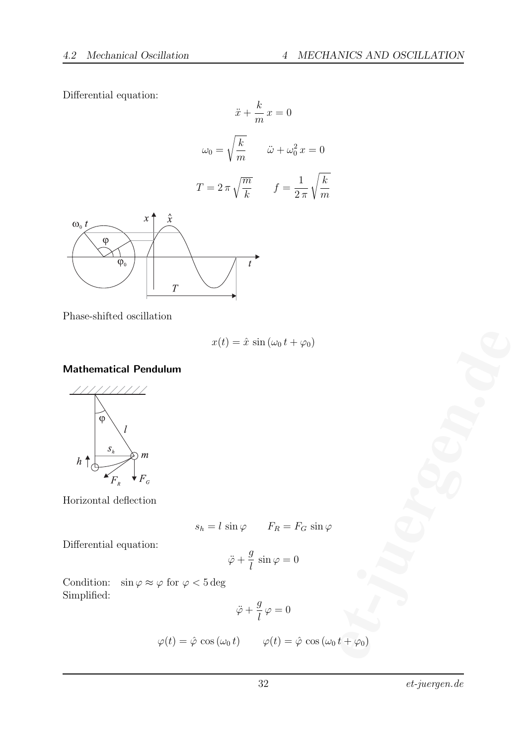Differential equation:

$$
\ddot{x} + \frac{k}{m} x = 0
$$

$$
\omega_0 = \sqrt{\frac{k}{m}} \qquad \ddot{\omega} + \omega_0^2 x = 0
$$

$$
T = 2\pi \sqrt{\frac{m}{k}} \qquad f = \frac{1}{2\pi} \sqrt{\frac{k}{m}}
$$



Phase-shifted oscillation

$$
x(t) = \hat{x} \sin(\omega_0 t + \varphi_0)
$$

#### Mathematical Pendulum



Horizontal deflection

$$
s_h = l \sin \varphi \qquad F_R = F_G \sin \varphi
$$

Differential equation:

$$
\ddot{\varphi} + \frac{g}{l} \sin \varphi = 0
$$

Condition:  $\sin \varphi \approx \varphi$  for  $\varphi < 5 \text{ deg}$ Simplified:

$$
\ddot{\varphi} + \frac{g}{l} \, \varphi = 0
$$

$$
x(t) = \hat{x} \sin(\omega_0 t + \varphi_0)
$$
  
\n
$$
s_h = l \sin \varphi \qquad F_R = F_G \sin \varphi
$$
  
\n
$$
\ddot{\varphi} + \frac{g}{l} \sin \varphi = 0
$$
  
\n
$$
\varphi \text{ for } \varphi < 5 \deg
$$
  
\n
$$
\ddot{\varphi} + \frac{g}{l} \varphi = 0
$$
  
\n
$$
\varphi(t) = \hat{\varphi} \cos(\omega_0 t) \qquad \varphi(t) = \hat{\varphi} \cos(\omega_0 t + \varphi_0)
$$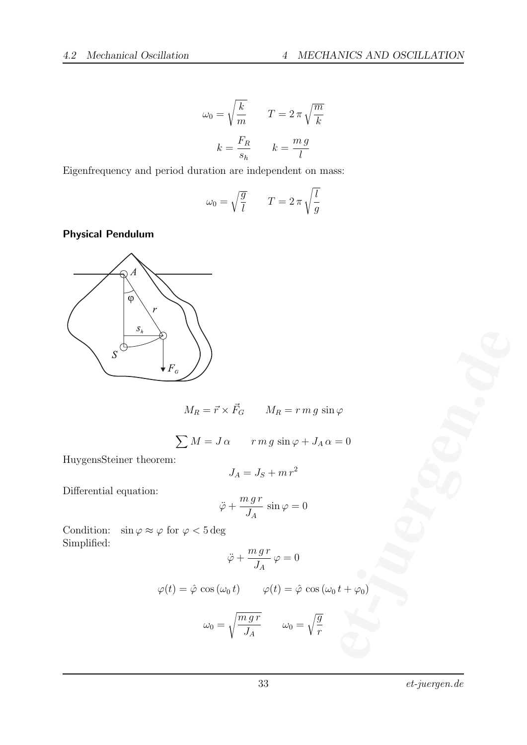$$
\omega_0 = \sqrt{\frac{k}{m}} \qquad T = 2\pi \sqrt{\frac{m}{k}}
$$

$$
k = \frac{F_R}{s_h} \qquad k = \frac{m g}{l}
$$

Eigenfrequency and period duration are independent on mass:

$$
\omega_0 = \sqrt{\frac{g}{l}} \qquad T = 2\,\pi\,\sqrt{\frac{l}{g}}
$$

Physical Pendulum



$$
M_R = \vec{r} \times \vec{F}_G \qquad M_R = r \, m \, g \, \sin \varphi
$$

$$
\sum M = J \alpha \qquad r \, m \, g \, \sin \varphi + J_A \, \alpha = 0
$$

HuygensSteiner theorem:

$$
J_A = J_S + m r^2
$$

Differential equation:

$$
\ddot{\varphi} + \frac{m\,g\,r}{J_A}\,\sin\varphi = 0
$$

Condition:  $\sin \varphi \approx \varphi$  for  $\varphi < 5$  deg Simplified:

$$
\ddot{\varphi} + \frac{m\,g\,r}{J_A}\,\varphi = 0
$$

$$
\begin{aligned}\n\oint_{\mathbf{F}_G} & \int_{\mathbf{F}_G} & M_R = r \, m \, g \, \sin \varphi \\
\sum M = J \, \alpha & r \, m \, g \, \sin \varphi + J_A \, \alpha = 0 \\
\text{rem:} & J_A = J_S + m \, r^2 \\
\ddot{\varphi} + \frac{m \, g \, r}{J_A} \sin \varphi = 0 \\
\varphi \text{ for } \varphi < 5 \deg \\
\ddot{\varphi} + \frac{m \, g \, r}{J_A} \varphi = 0 \\
\varphi(t) &= \varphi \, \cos \left(\omega_0 \, t\right) \qquad \varphi(t) = \varphi \, \cos \left(\omega_0 \, t + \varphi_0\right) \\
\omega_0 &= \sqrt{\frac{m \, g \, r}{J_A}} \qquad \omega_0 = \sqrt{\frac{g}{r}}\n\end{aligned}
$$

$$
\omega_0 = \sqrt{\frac{m \, g \, r}{J_A}} \qquad \omega_0 = \sqrt{\frac{g}{r}}
$$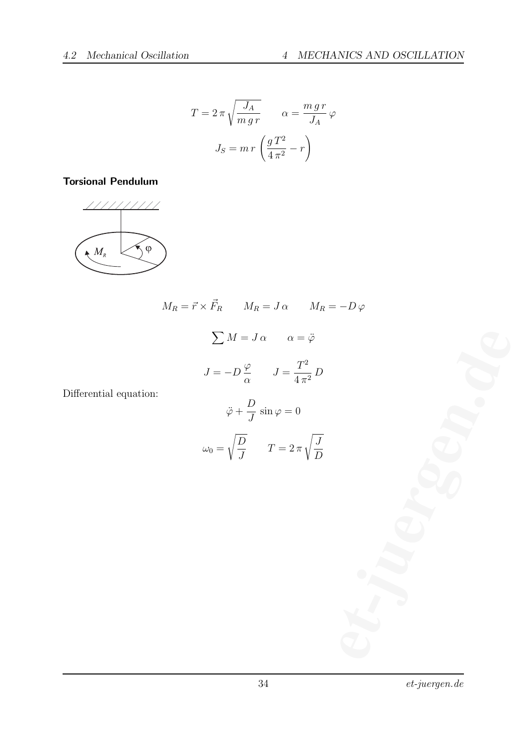$$
T = 2 \pi \sqrt{\frac{J_A}{m \, gr}} \qquad \alpha = \frac{m \, gr}{J_A} \varphi
$$

$$
J_S = m \, r \left(\frac{g \, T^2}{4 \, \pi^2} - r\right)
$$

#### Torsional Pendulum



Differential equation:

 $M_R = \vec{r} \times \vec{F}_R$   $M_R = J \alpha$   $M_R = -D \varphi$  $\sum M = J \alpha$   $\alpha = \ddot{\varphi}$  $J = -D \frac{\varphi}{\zeta}$  $\alpha$  $J =$  $T^2$  $rac{1}{4\pi^2}D$  $\ddot{\varphi}$  + D J  $\sin \varphi = 0$  $\omega_0 =$  $\sqrt{D}$ J  $T=2\pi$  $\sqrt{J}$ D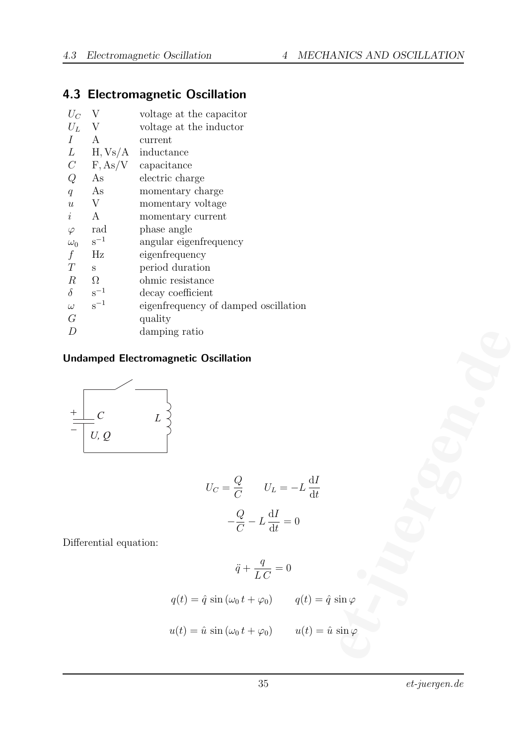# 4.3 Electromagnetic Oscillation

| $U_C$            | V            | voltage at the capacitor             |
|------------------|--------------|--------------------------------------|
| $U_L$            | $\mathbf{V}$ | voltage at the inductor              |
| I                | A            | current                              |
| L                |              | $H, Vs/A$ inductance                 |
| $\mathcal{C}$    |              | $F, As/V$ capacitance                |
| Q                | As           | electric charge                      |
| q                | As           | momentary charge                     |
| $\boldsymbol{u}$ | V            | momentary voltage                    |
| $\dot{i}$        | A            | momentary current                    |
| $\varphi$        | rad          | phase angle                          |
| $\omega_0$       | $s^{-1}$     | angular eigenfrequency               |
| $\int$           | Hz           | eigenfrequency                       |
| T                | S            | period duration                      |
| $\boldsymbol{R}$ | $\Omega$     | ohmic resistance                     |
| $\delta$         | $s^{-1}$     | decay coefficient                    |
| $\omega$         | $s^{-1}$     | eigenfrequency of damped oscillation |
| G                |              | quality                              |
| D                |              | damping ratio                        |
|                  |              |                                      |

### Undamped Electromagnetic Oscillation



$$
U_C = \frac{Q}{C} \qquad U_L = -L \frac{dI}{dt}
$$

$$
-\frac{Q}{C} - L \frac{dI}{dt} = 0
$$

Differential equation:

ng ratio  
\ngnetic Oscillation  
\n
$$
U_C = \frac{Q}{C} \qquad U_L = -L \frac{dI}{dt}
$$
\n
$$
-\frac{Q}{C} - L \frac{dI}{dt} = 0
$$
\n
$$
\ddot{q} + \frac{q}{LC} = 0
$$
\n
$$
q(t) = \hat{q} \sin(\omega_0 t + \varphi_0) \qquad q(t) = \hat{q} \sin \varphi
$$
\n
$$
u(t) = \hat{u} \sin(\omega_0 t + \varphi_0) \qquad u(t) = \hat{u} \sin \varphi
$$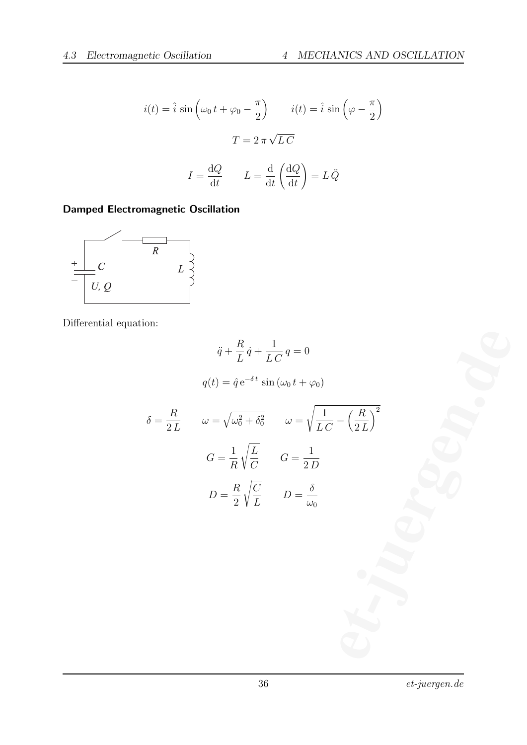$$
i(t) = \hat{i} \sin\left(\omega_0 t + \varphi_0 - \frac{\pi}{2}\right) \qquad i(t) = \hat{i} \sin\left(\varphi - \frac{\pi}{2}\right)
$$

$$
T = 2\pi\sqrt{LC}
$$

$$
I = \frac{dQ}{dt} \qquad L = \frac{d}{dt}\left(\frac{dQ}{dt}\right) = L\ddot{Q}
$$

### Damped Electromagnetic Oscillation



Differential equation:

$$
\ddot{q} + \frac{R}{L}\dot{q} + \frac{1}{LC}q = 0
$$
  

$$
q(t) = \hat{q}e^{-\delta t} \sin(\omega_0 t + \varphi_0)
$$
  

$$
\delta = \frac{R}{2L} \qquad \omega = \sqrt{\omega_0^2 + \delta_0^2} \qquad \omega = \sqrt{\frac{1}{LC} - \left(\frac{R}{2L}\right)^2}
$$
  

$$
G = \frac{1}{R}\sqrt{\frac{L}{C}} \qquad G = \frac{1}{2D}
$$
  

$$
D = \frac{R}{2}\sqrt{\frac{C}{L}} \qquad D = \frac{\delta}{\omega_0}
$$

1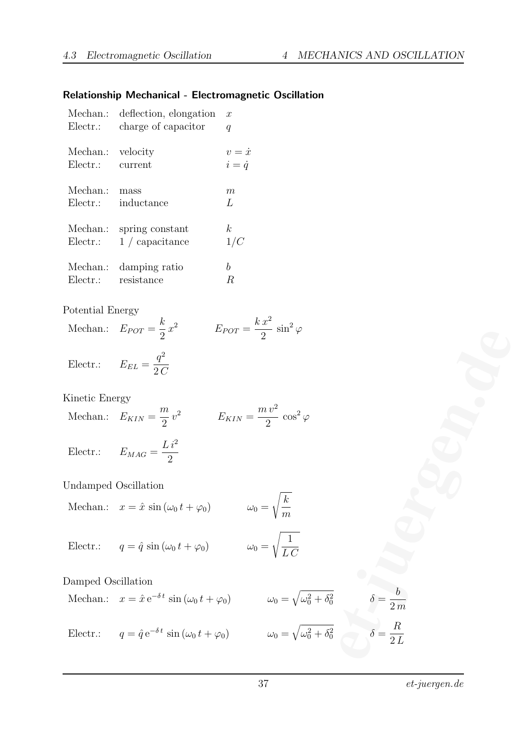### Relationship Mechanical - Electromagnetic Oscillation

| Mechan.: | deflection, elongation | $\mathcal{X}$ |
|----------|------------------------|---------------|
| Electr.  | charge of capacitor    | q             |
| Mechan.: | velocity               | $v = \dot{x}$ |
| Electr.  | current                | $i = \dot{q}$ |
| Mechan.: | mass                   | $m\,$         |
| Electr.  | inductance             | L             |
| Mechan.: | spring constant        | k.            |
| Electr.  | $1/$ capacitance       | 1/C           |
| Mechan.: | damping ratio          | h             |
| Electr.: | resistance             | R.            |

### Potential Energy

|  | Mechan.: $E_{POT} = \frac{1}{2} x^2$ | $kx^2$<br>$E_{POT} = \frac{\hbar \omega}{2} \sin^2 \varphi$ |
|--|--------------------------------------|-------------------------------------------------------------|
|--|--------------------------------------|-------------------------------------------------------------|

$$
\text{Electr.:}\qquad E_{EL}=\frac{q^2}{2\,C}
$$

### Kinetic Energy

|  | Mechan.: $E_{KIN} = \frac{m}{2} v^2$ | $E_{KIN} = \frac{m v^2}{2} \cos^2 \varphi$ |
|--|--------------------------------------|--------------------------------------------|
|--|--------------------------------------|--------------------------------------------|

 $Li<sup>2</sup>$ 2

Electr.:  $E_{MAG} =$ 

Undamped Oscillation

Mechan.: 
$$
x = \hat{x} \sin(\omega_0 t + \varphi_0)
$$
  $\qquad \omega_0 = \sqrt{\frac{k}{m}}$ 

\nElectr.:  $q = \hat{q} \sin(\omega_0 t + \varphi_0)$   $\qquad \omega_0 = \sqrt{\frac{1}{LC}}$ 

Damped Oscillation

Mechan.: 
$$
x = \hat{x} e^{-\delta t} \sin(\omega_0 t + \varphi_0)
$$

\n
$$
\omega_0 = \sqrt{\omega_0^2 + \delta_0^2}
$$
\nElectr.: 
$$
q = \hat{q} e^{-\delta t} \sin(\omega_0 t + \varphi_0)
$$

\n
$$
\omega_0 = \sqrt{\omega_0^2 + \delta_0^2}
$$

$$
\overline{\vec{a}}
$$
\n
$$
\overline{\vec{a}}
$$
\n
$$
\overline{\vec{a}}
$$
\n
$$
\overline{\vec{a}}
$$
\n
$$
\overline{\vec{a}}
$$
\n
$$
\overline{\vec{a}}
$$
\n
$$
\overline{\vec{a}}
$$
\n
$$
\overline{\vec{a}}
$$
\n
$$
\overline{\vec{a}}
$$
\n
$$
\overline{\vec{a}}
$$
\n
$$
\overline{\vec{a}}
$$
\n
$$
\overline{\vec{a}}
$$
\n
$$
\overline{\vec{a}}
$$
\n
$$
\overline{\vec{a}}
$$
\n
$$
\overline{\vec{a}}
$$
\n
$$
\overline{\vec{a}}
$$
\n
$$
\overline{\vec{a}}
$$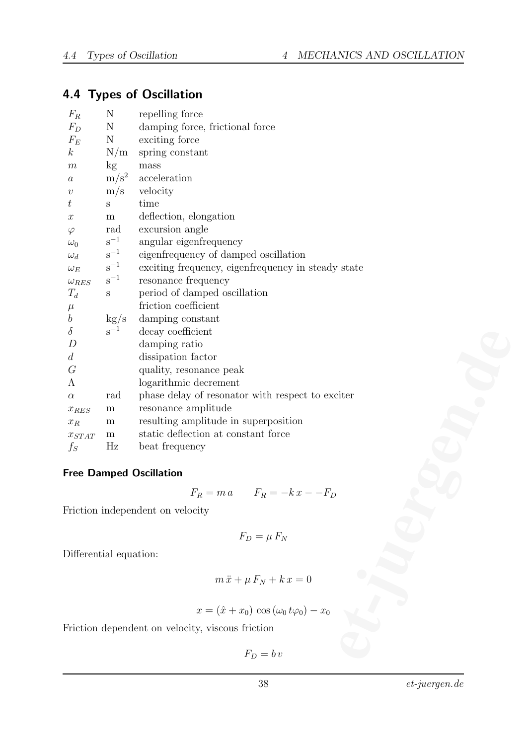### 4.4 Types of Oscillation

| $F_R$                                            | N            | repelling force                                         |  |  |
|--------------------------------------------------|--------------|---------------------------------------------------------|--|--|
| $F_D$                                            | N            | damping force, frictional force                         |  |  |
| $F_E$                                            | $\mathbf N$  | exciting force                                          |  |  |
| $\boldsymbol{k}$                                 | N/m          | spring constant                                         |  |  |
| $\,m$                                            | kg           | mass                                                    |  |  |
| $\boldsymbol{a}$                                 | $m/s^2$      | acceleration                                            |  |  |
| $\upsilon$                                       | m/s          | velocity                                                |  |  |
| $t\,$                                            | $\mathbf S$  | time                                                    |  |  |
| $\boldsymbol{x}$                                 | ${\bf m}$    | deflection, elongation                                  |  |  |
| $\varphi$                                        | rad          | excursion angle                                         |  |  |
| $\omega_0$                                       | $s^{-1}$     | angular eigenfrequency                                  |  |  |
| $\omega_d$                                       | $s^{-1}$     | eigenfrequency of damped oscillation                    |  |  |
| $\omega_E$                                       | $s^{-1}$     | exciting frequency, eigenfrequency in steady state      |  |  |
| $\omega_{RES}$                                   | $\rm s^{-1}$ | resonance frequency                                     |  |  |
| $T_d$                                            | $\mathbf S$  | period of damped oscillation                            |  |  |
| $\mu$                                            |              | friction coefficient                                    |  |  |
| $\boldsymbol{b}$                                 | $\rm kg/s$   | damping constant                                        |  |  |
| $\delta$                                         | $s^{-1}$     | decay coefficient                                       |  |  |
| D                                                |              | damping ratio                                           |  |  |
| d                                                |              | dissipation factor                                      |  |  |
| $\mathcal G$                                     |              | quality, resonance peak                                 |  |  |
| $\Lambda$                                        |              | logarithmic decrement                                   |  |  |
| $\alpha$                                         | rad          | phase delay of resonator with respect to exciter        |  |  |
| $x_{RES}$                                        | m            | resonance amplitude                                     |  |  |
| $\mathcal{X}_R$                                  | m            | resulting amplitude in superposition                    |  |  |
| $\boldsymbol{\mathcal{X}STAT}$                   | m            | static deflection at constant force                     |  |  |
| $f_S$                                            | $_{\rm Hz}$  | beat frequency                                          |  |  |
|                                                  |              |                                                         |  |  |
|                                                  |              | <b>Free Damped Oscillation</b>                          |  |  |
|                                                  |              |                                                         |  |  |
|                                                  |              | $F_R = m a$ $F_R = -k x - F_D$                          |  |  |
|                                                  |              | Friction independent on velocity                        |  |  |
|                                                  |              |                                                         |  |  |
|                                                  |              | $F_D = \mu F_N$                                         |  |  |
| Differential equation:                           |              |                                                         |  |  |
|                                                  |              |                                                         |  |  |
|                                                  |              | $m\ddot{x} + \mu F_N + kx = 0$                          |  |  |
|                                                  |              |                                                         |  |  |
|                                                  |              | $x = (\hat{x} + x_0) \cos (\omega_0 t \varphi_0) - x_0$ |  |  |
| Friction dependent on velocity, viscous friction |              |                                                         |  |  |
|                                                  |              | $F_D = bv$                                              |  |  |
|                                                  |              |                                                         |  |  |

### Free Damped Oscillation

$$
F_R = m a \qquad F_R = -k x - -F_D
$$

$$
F_D = \mu F_N
$$

$$
m\ddot{x} + \mu F_N + k\,x = 0
$$

$$
x = (\hat{x} + x_0) \cos(\omega_0 t \varphi_0) - x_0
$$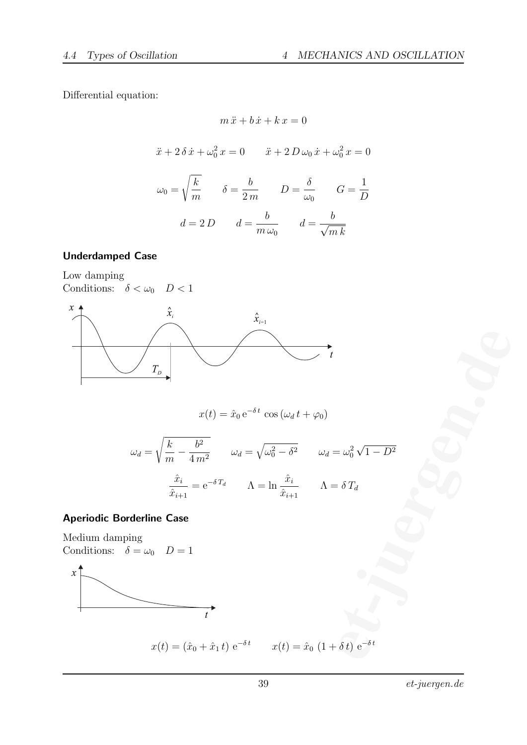Differential equation:

$$
m\ddot{x} + b\dot{x} + kx = 0
$$
  

$$
\ddot{x} + 2\delta \dot{x} + \omega_0^2 x = 0 \qquad \ddot{x} + 2D\omega_0 \dot{x} + \omega_0^2 x = 0
$$
  

$$
\omega_0 = \sqrt{\frac{k}{m}} \qquad \delta = \frac{b}{2m} \qquad D = \frac{\delta}{\omega_0} \qquad G = \frac{1}{D}
$$
  

$$
d = 2D \qquad d = \frac{b}{m\omega_0} \qquad d = \frac{b}{\sqrt{m\,k}}
$$

#### Underdamped Case

Low damping Conditions:  $\delta < \omega_0$   $D < 1$ 



 $\overline{t}$ 

$$
x(t) = \hat{x}_0 e^{-\delta t} \cos(\omega_d t + \varphi_0)
$$

$$
T_{D}
$$
\n
$$
x(t) = \hat{x}_{0} e^{-\delta t} \cos (\omega_{d} t + \varphi_{0})
$$
\n
$$
\omega_{d} = \sqrt{\frac{k}{m} - \frac{b^{2}}{4m^{2}}} \qquad \omega_{d} = \sqrt{\omega_{0}^{2} - \delta^{2}} \qquad \omega_{d} = \omega_{0}^{2} \sqrt{1 - D^{2}}
$$
\n
$$
\frac{\hat{x}_{i}}{\hat{x}_{i+1}} = e^{-\delta T_{d}} \qquad \Lambda = \ln \frac{\hat{x}_{i}}{\hat{x}_{i+1}} \qquad \Lambda = \delta T_{d}
$$
\nderline Case\n
$$
\lim_{t \to \infty} \omega_{D} = 1
$$
\n
$$
x(t) = (\hat{x}_{0} + \hat{x}_{1} t) e^{-\delta t} \qquad x(t) = \hat{x}_{0} (1 + \delta t) e^{-\delta t}
$$

### Aperiodic Borderline Case

Medium damping Conditions:  $\delta = \omega_0$   $D = 1$  $\overline{x}$ 

$$
x(t) = (\hat{x}_0 + \hat{x}_1 t) e^{-\delta t}
$$
  $x(t) = \hat{x}_0 (1 + \delta t) e^{-\delta t}$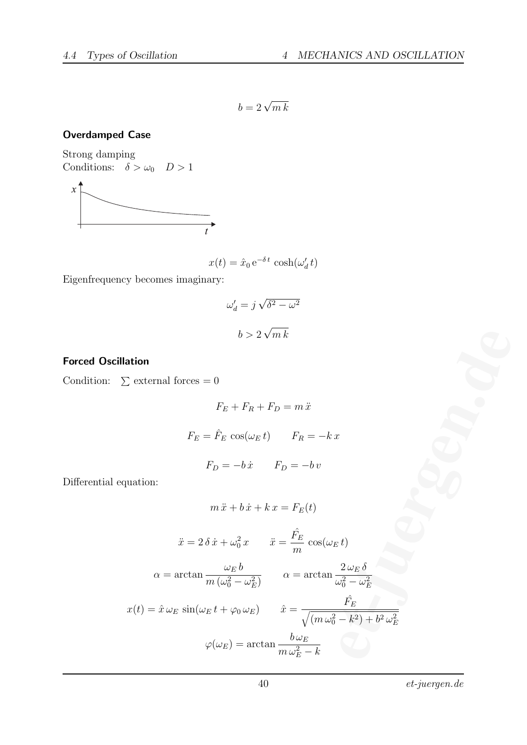$b = 2\sqrt{m\,k}$ 

#### Overdamped Case

Strong damping Conditions:  $\delta > \omega_0$   $D > 1$ 



$$
x(t) = \hat{x}_0 e^{-\delta t} \cosh(\omega'_d t)
$$

Eigenfrequency becomes imaginary:

$$
\omega'_d = j\sqrt{\delta^2 - \omega^2}
$$

$$
b > 2\sqrt{mk}
$$

#### Forced Oscillation

Condition:  $\sum$  external forces = 0

$$
F_E + F_R + F_D = m \ddot{x}
$$
  

$$
F_E = \hat{F}_E \cos(\omega_E t) \qquad F_R = -k \, x
$$
  

$$
F_D = -b \dot{x} \qquad F_D = -b \, v
$$

Differential equation:

$$
m\ddot{x} + b\dot{x} + k\,x = F_E(t)
$$

$$
b > 2\sqrt{mk}
$$
\n
$$
\text{ation}
$$
\n
$$
\text{c}{\text{xterminal forces}} = 0
$$
\n
$$
F_E + F_R + F_D = m\ddot{x}
$$
\n
$$
F_E = \hat{F}_E \cos(\omega_E t) \qquad F_R = -k\,x
$$
\n
$$
F_D = -b\dot{x} \qquad F_D = -bv
$$
\n
$$
m\ddot{x} + b\dot{x} + k\,x = F_E(t)
$$
\n
$$
\ddot{x} = 2\,\delta\,\dot{x} + \omega_0^2\,x \qquad \ddot{x} = \frac{\hat{F}_E}{m}\cos(\omega_E t)
$$
\n
$$
\alpha = \arctan\frac{\omega_E b}{m\,(\omega_0^2 - \omega_E^2)} \qquad \alpha = \arctan\frac{2\,\omega_E \,\delta}{\omega_0^2 - \omega_E^2}
$$
\n
$$
x(t) = \hat{x}\,\omega_E\,\sin(\omega_E t + \varphi_0\,\omega_E) \qquad \hat{x} = \frac{\hat{F}_E}{\sqrt{(m\,\omega_0^2 - k^2) + b^2\,\omega_E^2}}
$$
\n
$$
\varphi(\omega_E) = \arctan\frac{b\,\omega_E}{m\,\omega_E^2 - k}
$$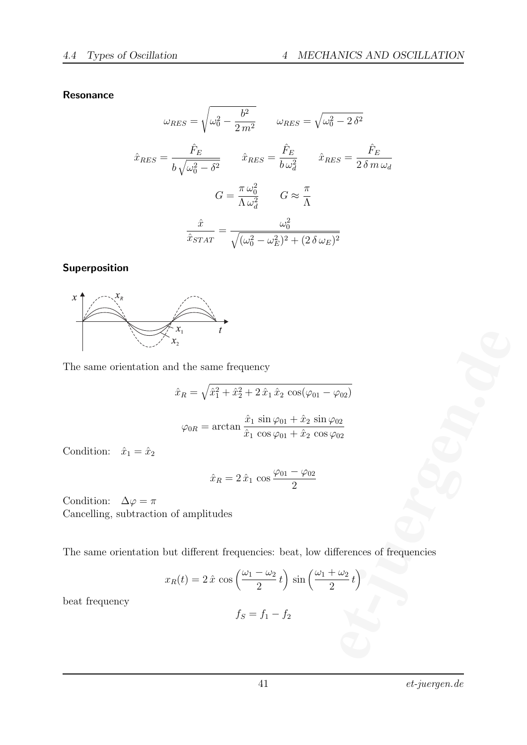#### Resonance

$$
\omega_{RES} = \sqrt{\omega_0^2 - \frac{b^2}{2 m^2}} \qquad \omega_{RES} = \sqrt{\omega_0^2 - 2 \delta^2}
$$

$$
\hat{x}_{RES} = \frac{\hat{F}_E}{b \sqrt{\omega_0^2 - \delta^2}} \qquad \hat{x}_{RES} = \frac{\hat{F}_E}{b \omega_d^2} \qquad \hat{x}_{RES} = \frac{\hat{F}_E}{2 \delta m \omega_d}
$$

$$
G = \frac{\pi \omega_0^2}{\Lambda \omega_d^2} \qquad G \approx \frac{\pi}{\Lambda}
$$

$$
\frac{\hat{x}}{\hat{x}_{STAT}} = \frac{\omega_0^2}{\sqrt{(\omega_0^2 - \omega_E^2)^2 + (2 \delta \omega_E)^2}}
$$

### Superposition



The same orientation and the same frequency

$$
\hat{x}_R = \sqrt{\hat{x}_1^2 + \hat{x}_2^2 + 2\,\hat{x}_1\,\hat{x}_2\,\cos(\varphi_{01} - \varphi_{02})}
$$

$$
\varphi_{0R} = \arctan\frac{\hat{x}_1\,\sin\varphi_{01} + \hat{x}_2\,\sin\varphi_{02}}{\hat{x}_1\,\cos\varphi_{01} + \hat{x}_2\,\cos\varphi_{02}}
$$

Condition:  $\hat{x}_1 = \hat{x}_2$ 

$$
\hat{x}_R = 2\,\hat{x}_1\,\cos\frac{\varphi_{01} - \varphi_{02}}{2}
$$

Condition:  $\Delta \varphi = \pi$ Cancelling, subtraction of amplitudes

The same orientation but different frequencies: beat, low differences of frequencies  $\frac{1}{\sqrt{2}}$ <br> **example 2**<br> **ferences** of frequencies<br>  $\frac{\omega_2}{t}$ 

$$
x_R(t) = 2\,\hat{x}\,\cos\left(\frac{\omega_1 - \omega_2}{2}\,t\right)\,\sin\left(\frac{\omega_1 + \omega_2}{2}\,t\right)
$$

beat frequency

$$
f_S = f_1 - f_2
$$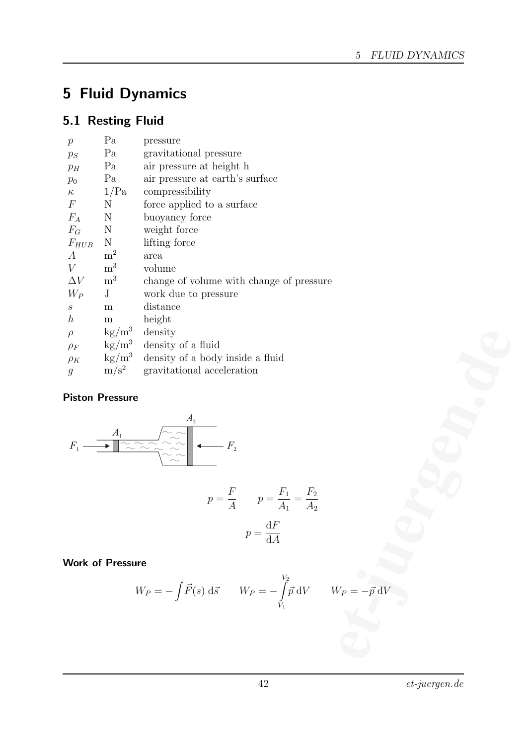# 5 Fluid Dynamics

### 5.1 Resting Fluid

| $\, p$           | Pa                     | pressure                                 |
|------------------|------------------------|------------------------------------------|
| $p_S$            | Pa                     | gravitational pressure                   |
| $p_H$            | Pa                     | air pressure at height h                 |
| $p_0$            | Pa                     | air pressure at earth's surface          |
| $\kappa$         | 1/Pa                   | compressibility                          |
| $\,F$            | $\mathbf N$            | force applied to a surface               |
| $F_A$            | $\mathbf N$            | buoyancy force                           |
| $F_G$            | $\mathbf N$            | weight force                             |
| $F_{HUB}$ N      |                        | lifting force                            |
| $\overline{A}$   | m <sup>2</sup>         | area                                     |
| V                | m <sup>3</sup>         | volume                                   |
| $\Delta V$       | m <sup>3</sup>         | change of volume with change of pressure |
| $W_P$            | $\int$                 | work due to pressure                     |
| $\boldsymbol{s}$ | m                      | distance                                 |
| $\hbar$          | m                      | height                                   |
| $\rho$           |                        | $\text{kg/m}^3$ density                  |
| $\rho_F$         |                        | $\text{kg/m}^3$ density of a fluid       |
| $\rho_K$         | $\text{kg}/\text{m}^3$ | density of a body inside a fluid         |
| $\mathfrak{g}$   | $m/s^2$                | gravitational acceleration               |
|                  |                        |                                          |

### Piston Pressure



$$
p = \frac{F}{A} \qquad p = \frac{F_1}{A_1} = \frac{F_2}{A_2}
$$

$$
p = \frac{dF}{dA}
$$

Work of Pressure

density  
density of a fluid  
density of a body inside a fluid  
gravitational acceleration  
e  

$$
\frac{A_2}{\sqrt{2\pi\sqrt{2}}} \leftarrow F_2
$$

$$
p = \frac{F}{A} \qquad p = \frac{F_1}{A_1} = \frac{F_2}{A_2}
$$

$$
p = \frac{dF}{dA}
$$
ure  

$$
W_P = -\int \vec{F}(s) \, ds \qquad W_P = -\int_{V_1}^{V_2} dV \qquad W_P = -\vec{p} \, dV
$$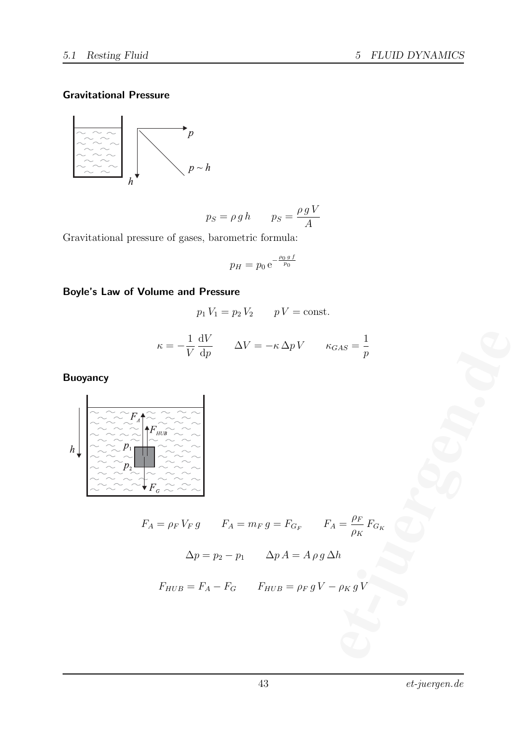### Gravitational Pressure



$$
p_S = \rho \, g \, h \qquad p_S = \frac{\rho \, g \, V}{A}
$$

Gravitational pressure of gases, barometric formula:

$$
p_H = p_0 e^{-\frac{\rho_0 g f}{p_0}}
$$

### Boyle's Law of Volume and Pressure

$$
p_1 V_1 = p_2 V_2 \t pV = \text{const.}
$$

$$
\kappa = -\frac{1}{V} \frac{dV}{dp} \qquad \Delta V = -\kappa \Delta p V \qquad \kappa_{GAS} = \frac{1}{p}
$$

Buoyancy



 $F_A = \rho_F V_F g$   $F_A = m_F g = F_{G_F}$   $F_A =$  $\rho_F$  $\frac{\rho_F}{\rho_K} F_{G_K}$  $\vec{e}_{\vec{p}}$ <br>  $\vec{e}_{\vec{p}} = \frac{\partial F}{\partial \vec{k}} F_{\vec{q}}$ <br>  $\vec{p}_{\vec{k}}$ <br>  $\vec{p}_{\vec{k}}$ <br>  $\vec{p}_{\vec{k}}$ <br>  $\vec{p}_{\vec{k}}$ <br>  $\vec{p}_{\vec{k}}$ <br>  $\vec{p}_{\vec{k}}$ 

$$
\Delta p = p_2 - p_1 \qquad \Delta p \, A = A \, \rho \, g \, \Delta h
$$

$$
F_{HUB} = F_A - F_G \qquad F_{HUB} = \rho_F g V - \rho_K g V
$$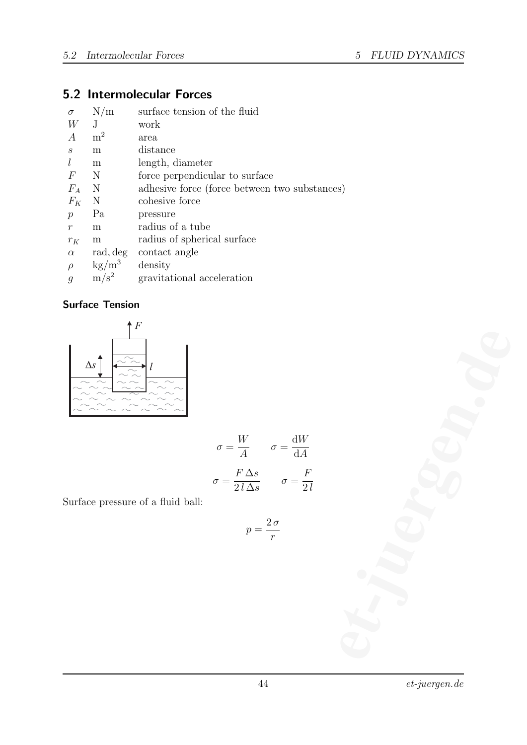### 5.2 Intermolecular Forces

| $\sigma$                    | N/m                    | surface tension of the fluid                  |
|-----------------------------|------------------------|-----------------------------------------------|
| W                           | J                      | work                                          |
| $\overline{A}$              | m <sup>2</sup>         | area                                          |
| $\mathcal{S}_{\mathcal{S}}$ | m                      | distance                                      |
| l                           | m                      | length, diameter                              |
| $\,F$                       | N                      | force perpendicular to surface                |
| $F_A$                       | N                      | adhesive force (force between two substances) |
| $F_K$                       | N                      | cohesive force                                |
| $\mathcal{p}$               | Pa                     | pressure                                      |
| $\mathcal{r}$               | m                      | radius of a tube                              |
| $r_K$                       | m                      | radius of spherical surface                   |
| $\alpha$                    | rad, deg               | contact angle                                 |
| $\rho$                      | $\text{kg}/\text{m}^3$ | density                                       |
| $\overline{q}$              | $m/s^2$                | gravitational acceleration                    |

### Surface Tension



$$
\sigma = \frac{W}{A} \qquad \sigma = \frac{dW}{dA}
$$

$$
\sigma = \frac{F \Delta s}{2l \Delta s} \qquad \sigma = \frac{F}{2l}
$$

Surface pressure of a fluid ball:

$$
p=\frac{2\,\sigma}{r}
$$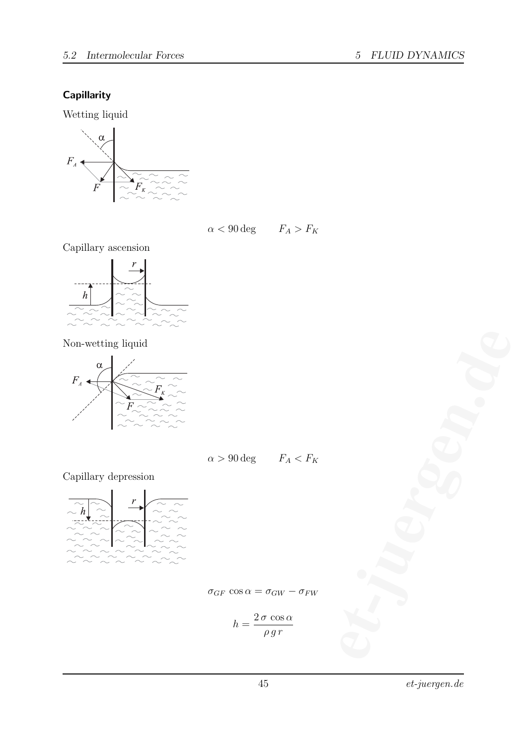### **Capillarity**

Wetting liquid



 $\alpha < 90 \deg$   $F_A > F_K$ 

Capillary ascension



Non-wetting liquid



 $\alpha > 90 \text{ deg}$   $F_A < F_K$ 

Capillary depression



 $\sigma_{GF}$  cos  $\alpha = \sigma_{GW} - \sigma_{FW}$ 

$$
h = \frac{2\,\sigma\,\cos\alpha}{\rho\,g\,r}
$$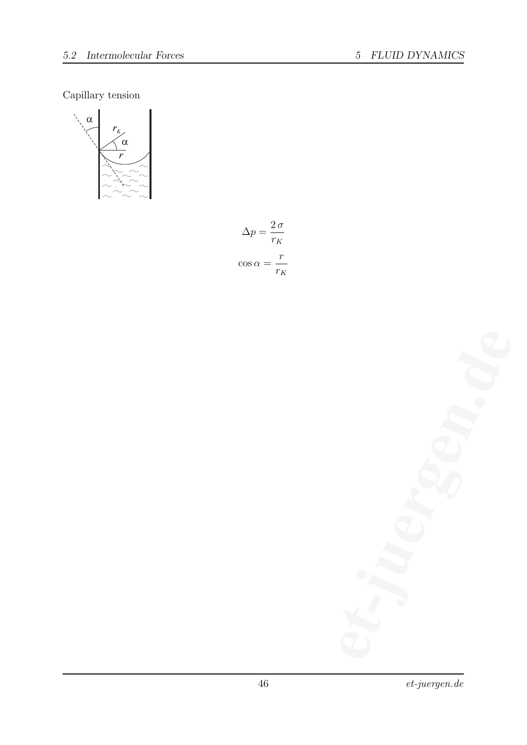Capillary tension



$$
\Delta p = \frac{2 \sigma}{r_K}
$$

$$
\cos \alpha = \frac{r}{r_K}
$$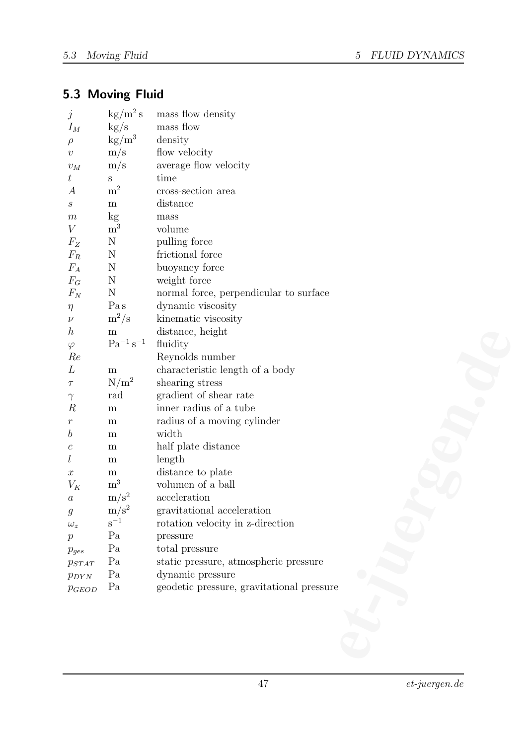# 5.3 Moving Fluid

| $\dot{\jmath}$                                            | $\text{kg/m}^2\text{ s}$ | mass flow density                         |
|-----------------------------------------------------------|--------------------------|-------------------------------------------|
| $I_M$                                                     | $\rm kg/s$               | mass flow                                 |
| $\rho$                                                    | $\text{kg}/\text{m}^3$   | density                                   |
| $\upsilon$                                                | m/s                      | flow velocity                             |
| $\upsilon_M$                                              | m/s                      | average flow velocity                     |
| $\boldsymbol{t}$                                          | $\mathbf S$              | time                                      |
| $\boldsymbol{A}$                                          | m <sup>2</sup>           | cross-section area                        |
| $\boldsymbol{s}$                                          | m                        | distance                                  |
| $\,m$                                                     | $\mathrm{kg}$            | mass                                      |
| V                                                         | $\mathrm{m}^3$           | volume                                    |
| $F_Z$                                                     | $\mathbf N$              | pulling force                             |
| $F_R$                                                     | N                        | frictional force                          |
| ${\cal F}_A$                                              | $\mathbf N$              | buoyancy force                            |
| $\mathcal{F}_G$                                           | N                        | weight force                              |
| $F_N$                                                     | $\mathbf N$              | normal force, perpendicular to surface    |
| $\eta$                                                    | Pas                      | dynamic viscosity                         |
| $\nu$                                                     | $m^2/s$                  | kinematic viscosity                       |
| $\boldsymbol{h}$                                          | ${\bf m}$                | distance, height                          |
| $\varphi$                                                 | $Pa^{-1} s^{-1}$         | fluidity                                  |
| Re                                                        |                          | Reynolds number                           |
| L                                                         | ${\bf m}$                | characteristic length of a body           |
| $\tau$                                                    | $N/m^2$                  | shearing stress                           |
| $\gamma$                                                  | rad                      | gradient of shear rate                    |
| $\boldsymbol{R}$                                          | ${\bf m}$                | inner radius of a tube                    |
| $\boldsymbol{r}$                                          | ${\bf m}$                | radius of a moving cylinder               |
| $\boldsymbol{b}$                                          | ${\bf m}$                | width                                     |
| $\mathcal C$                                              | ${\bf m}$                | half plate distance                       |
| l                                                         | ${\bf m}$                | length                                    |
| $\boldsymbol{x}$                                          | ${\bf m}$                | distance to plate                         |
| $V_K$                                                     | $\mathrm{m}^3$           | volumen of a ball                         |
| $\boldsymbol{a}$                                          | $m/s^2$                  | acceleration                              |
| $\mathcal{G}% _{M_{1},M_{2}}^{\alpha,\beta}(\varepsilon)$ | $m/s^2$                  | gravitational acceleration                |
| $\omega_z$                                                | $s^{-1}$                 | rotation velocity in z-direction          |
| $\boldsymbol{p}$                                          | Pa                       | pressure                                  |
| $p_{ges}$                                                 | Pa                       | total pressure                            |
| $p_{STAT}$                                                | Pa                       | static pressure, atmospheric pressure     |
| $p_{DYN}$                                                 | Pa                       | dynamic pressure                          |
| $p_{GEOD}$                                                | Pa                       | geodetic pressure, gravitational pressure |
|                                                           |                          |                                           |
|                                                           |                          |                                           |
|                                                           |                          |                                           |
|                                                           |                          |                                           |
|                                                           |                          |                                           |
|                                                           |                          |                                           |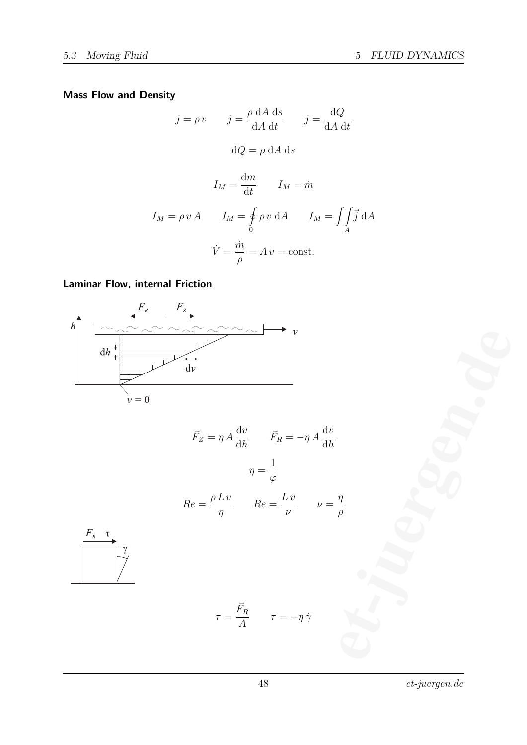### Mass Flow and Density

$$
j = \rho v \qquad j = \frac{\rho \, dA \, ds}{dA \, dt} \qquad j = \frac{dQ}{dA \, dt}
$$

$$
dQ = \rho \, dA \, ds
$$

$$
I_M = \frac{dm}{dt} \qquad I_M = \dot{m}
$$

$$
I_M = \rho v \, A \qquad I_M = \oint_0 \rho v \, dA \qquad I_M = \iint_A \vec{j} \, dA
$$

$$
\dot{V} = \frac{\dot{m}}{\rho} = A \, v = \text{const.}
$$

### Laminar Flow, internal Friction



$$
\vec{F}_Z = \eta A \frac{dv}{dh} \qquad \vec{F}_R = -\eta A \frac{dv}{dh}
$$
\n
$$
\eta = \frac{1}{\varphi}
$$
\n
$$
Re = \frac{\rho L v}{\eta} \qquad Re = \frac{L v}{\nu} \qquad \nu = \frac{\eta}{\rho}
$$
\n
$$
\tau = \frac{\vec{F}_R}{A} \qquad \tau = -\eta \dot{\gamma}
$$



$$
\tau = \frac{\vec{F}_R}{A} \qquad \tau = -\eta \dot{\gamma}
$$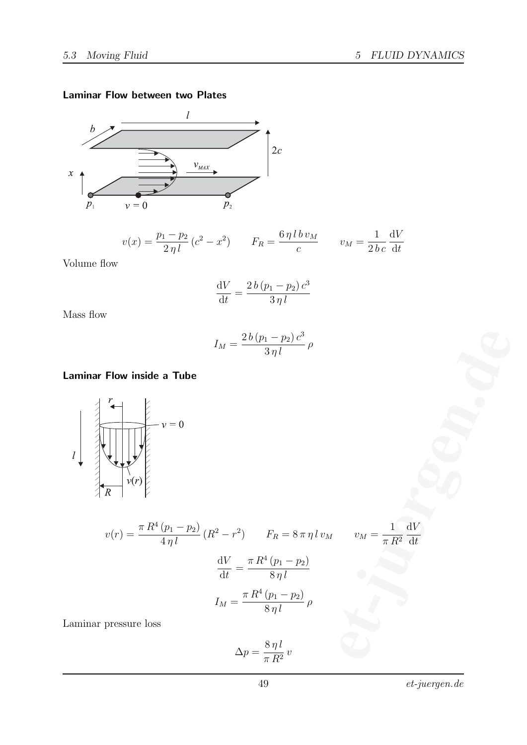#### Laminar Flow between two Plates



$$
v(x) = \frac{p_1 - p_2}{2\eta l} (c^2 - x^2) \qquad F_R = \frac{6\eta l b v_M}{c} \qquad v_M = \frac{1}{2bc} \frac{dV}{dt}
$$

Volume flow

$$
\frac{\mathrm{d}V}{\mathrm{d}t} = \frac{2\,b\,(p_1 - p_2)\,c^3}{3\,\eta\,l}
$$

Mass flow

$$
I_M = \frac{2 b (p_1 - p_2) c^3}{3 \eta l} \rho
$$

#### Laminar Flow inside a Tube



Laminar pressure loss

$$
\Delta p = \frac{8\,\eta\,l}{\pi\,R^2}\,v
$$

49 et-juergen.de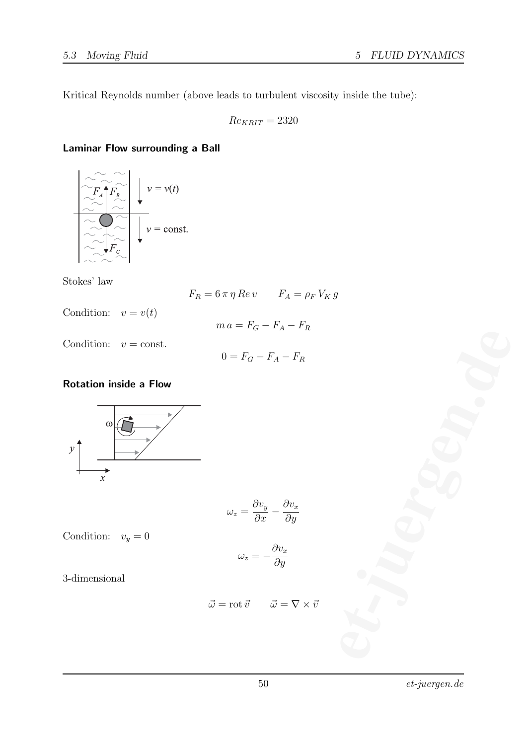Kritical Reynolds number (above leads to turbulent viscosity inside the tube):

$$
Re_{KRIT}=2320
$$

### Laminar Flow surrounding a Ball



Stokes' law

 $F_R = 6 \pi \eta \operatorname{Re} v$   $F_A = \rho_F V_K g$ 

Condition:  $v = v(t)$ 

$$
m a = F_G - F_A - F_R
$$

Condition:  $v = \text{const.}$ 

$$
0 = F_G - F_A - F_R
$$

#### Rotation inside a Flow



$$
\omega_z = \frac{\partial v_y}{\partial x} - \frac{\partial v_x}{\partial y}
$$

Condition:  $v_y = 0$ 

$$
\omega_z = -\frac{\partial v_x}{\partial y}
$$

3-dimensional

$$
\vec{\omega} = \text{rot}\,\vec{v} \qquad \vec{\omega} = \nabla \times \vec{v}
$$